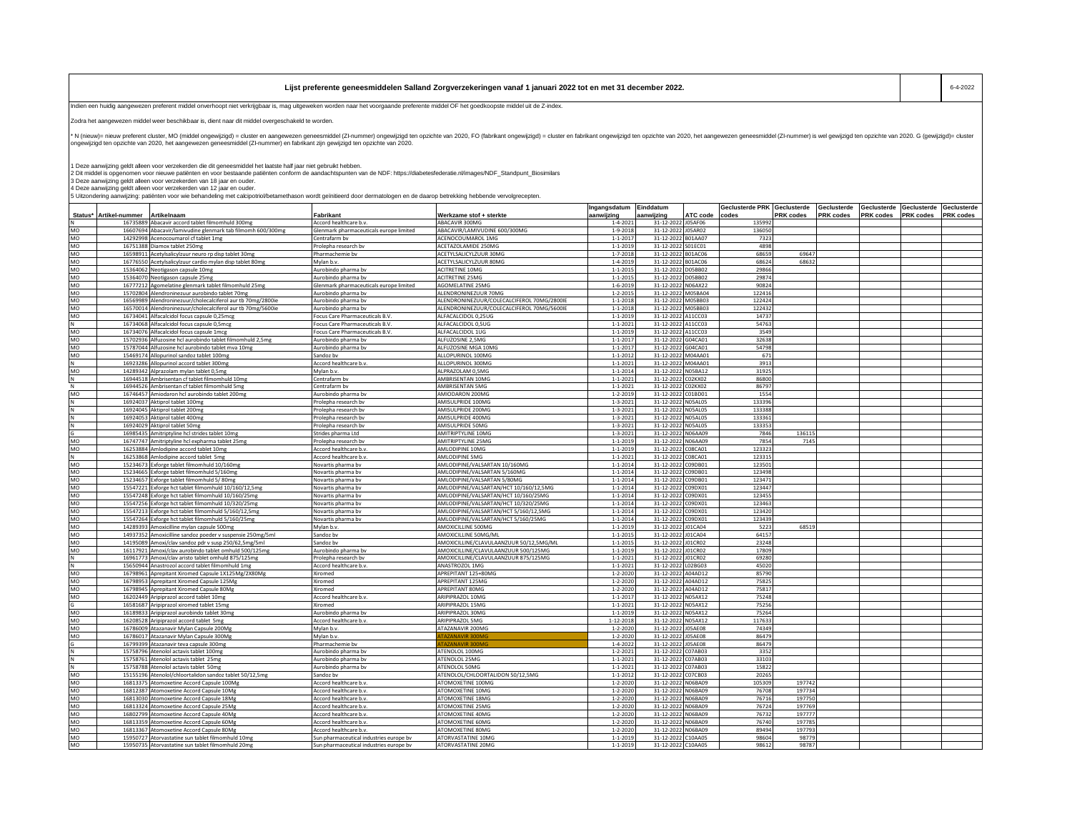| Lijst preferente geneesmiddelen Salland Zorgverzekeringen vanaf 1 januari 2022 tot en met 31 december 2022. |  |
|-------------------------------------------------------------------------------------------------------------|--|
|                                                                                                             |  |

Indien een huidig aangewezen preferent middel onverhoopt niet verkrijgbaar is, mag uitgeweken worden naar het voorgaande preferente middel OF het goedkoopste middel uit de Z-index.

Zodra het aangewezen middel weer beschikbaar is, dient naar dit middel overgeschakeld te worden.

-<br>N (nieuw)= nieuw preferent cluster, MO (middel ongewizigd) = cluster en aangewezen geneesmiddel (ZI-nummer) ongewizigd ten opzichte van 2020, FO (fabrikant ongewijzigd) = cluster en fabrikant ongewijzigd en opzichte van ongewijzigd ten opzichte van 2020, het aangewezen geneesmiddel (ZI-nummer) en fabrikant zijn gewijzigd ten opzichte van 2020.

1 Deze aanwijzing geldt alleen voor verzekerden die dit geneesmiddel het laatste half jaar niet gebruikt hebben.<br>2 Dit middel is opgenomen voor nieuwe patiëntene moor bestande patiënen conform de aandachtspunten van de ND

4 Deze aanwijzing geldt alleen voor verzekerden van 12 jaar en ouder.<br>5 Uitzondering aanwijzing: patiënten voor wie behandeling met calcipotriol/betamethason wordt geïnitieerd door dermatologen en de daarop betrekking hebb

|           |                |                                                                                                                   |                                         |                                                                 | Ingangsdatum                     | Einddatum                                |          | Geclusterde PRK Geclusterde |           | Geclusterde      | Geclusterde | Geclusterde | Geclusterde |
|-----------|----------------|-------------------------------------------------------------------------------------------------------------------|-----------------------------------------|-----------------------------------------------------------------|----------------------------------|------------------------------------------|----------|-----------------------------|-----------|------------------|-------------|-------------|-------------|
| Status*   | Artikel-nummer | Artikelnaam                                                                                                       | Fabrikant                               | Werkzame stof + sterkte                                         | aanwijzing                       | aanwijzing                               | ATC code | codes                       | PRK codes | <b>PRK</b> codes | PRK codes   | PRK codes   | PRK codes   |
|           |                | 16735889 Abacavir accord tablet filmomhuld 300mg                                                                  | Accord healthcare b.v.                  | ABACAVIR 300MG                                                  | $1 - 4 - 2021$                   | 31-12-2022 J05AF06                       |          | 135992                      |           |                  |             |             |             |
| MO        |                | 16607694 Abacavir/lamivudine glenmark tab filmomh 600/300mg                                                       | Slenmark pharmaceuticals europe limited | ABACAVIR/LAMIVUDINE 600/300MG                                   | 1-9-2018                         | 31-12-2022 J05AR02                       |          | 136050                      |           |                  |             |             |             |
| MO        |                | 14292998 Acenocoumarol cf tablet 1mg                                                                              | Centrafarm bv                           | ACENOCOUMAROL 1MG                                               | $1 - 1 - 2017$                   | 31-12-2022 B01AA07                       |          | 7323                        |           |                  |             |             |             |
| <b>MO</b> |                | 16751388 Diamox tablet 250mg                                                                                      | Prolepha research by                    | ACETAZOLAMIDE 250MG                                             | $1 - 1 - 2019$                   | 31-12-2022 S01EC01                       |          | 4898                        |           |                  |             |             |             |
| MO        |                | 16598911 Acetylsalicylzuur neuro rp disp tablet 30mg                                                              | Pharmachemie bv                         | ACETYLSALICYLZUUR 30MG                                          | $1 - 7 - 2018$                   | 31-12-2022 B01AC06                       |          | 68659                       | 69647     |                  |             |             |             |
| MO        |                | 16776550 Acetylsalicylzuur cardio mylan disp tablet 80mg                                                          | Mylan b.v.                              | ACETYLSALICYLZUUR 80MG                                          | $1 - 4 - 2019$                   | 31-12-2022 B01AC06                       |          | 68624                       | 68632     |                  |             |             |             |
| MO        |                | 15364062 Neotigason capsule 10mg                                                                                  | Aurobindo pharma bv                     | <b>ACITRETINE 10MG</b>                                          | $1 - 1 - 2015$                   | 31-12-2022 D05BB02                       |          | 29866                       |           |                  |             |             |             |
| MO        |                | 15364070 Neotigason capsule 25mg                                                                                  | Aurobindo pharma by                     | <b>ACITRETINE 25MG</b>                                          | $1 - 1 - 2015$                   | 31-12-2022 D05BB02                       |          | 29874                       |           |                  |             |             |             |
| MO        |                | 16777212 Agomelatine glenmark tablet filmomhuld 25mg                                                              | Glenmark pharmaceuticals europe limited | AGOMELATINE 25MG                                                | $1 - 6 - 2019$                   | 31-12-2022 N06AX22                       |          | 90824                       |           |                  |             |             |             |
| MO        |                | 15702804 Alendroninezuur aurobindo tablet 70mg                                                                    | Aurobindo pharma bv                     | ALENDRONINEZUUR 70MG                                            | $1 - 2 - 2015$                   | 31-12-2022 M05BA04                       |          | 122416                      |           |                  |             |             |             |
| MO        |                | 16569989 Alendroninezuur/cholecalciferol aur tb 70mg/2800ie                                                       | Aurobindo pharma bv                     | ALENDRONINEZUUR/COLECALCIFEROL 70MG/2800IE                      | $1 - 1 - 2018$                   | 31-12-2022 M05BB03                       |          | 122424                      |           |                  |             |             |             |
| MO        |                | 16570014 Alendroninezuur/cholecalciferol aur tb 70mg/5600ie                                                       | Aurobindo pharma bv                     | ALENDRONINEZUUR/COLECALCIFEROL 70MG/5600IE                      | $1 - 1 - 2018$                   | 31-12-2022 M05BB03                       |          | 122432                      |           |                  |             |             |             |
| MO        |                | 16734041 Alfacalcidol focus capsule 0,25mcg                                                                       | Focus Care Pharmaceuticals B.V.         | ALFACALCIDOL 0.25UG                                             | $1 - 1 - 2019$                   | 31-12-2022 A11CC03                       |          | 14737                       |           |                  |             |             |             |
|           |                | 16734068 Alfacalcidol focus capsule 0,5mcg                                                                        | Focus Care Pharmaceuticals B.V          | ALFACALCIDOL 0,5UG                                              | $1 - 1 - 2021$                   | 31-12-2022 A11CC03                       |          | 54763                       |           |                  |             |             |             |
| MO        |                | 16734076 Alfacalcidol focus capsule 1mcg                                                                          | Focus Care Pharmaceuticals B.V.         | ALFACALCIDOL 1UG                                                | $1 - 1 - 2019$                   | 31-12-2022 A11CC03                       |          | 3549                        |           |                  |             |             |             |
| MO        |                | 15702936 Alfuzosine hcl aurobindo tablet filmomhuld 2,5mg                                                         | Aurobindo pharma bv                     | ALFUZOSINE 2,5MG                                                | $1 - 1 - 2017$                   | 31-12-2022 G04CA01                       |          | 32638                       |           |                  |             |             |             |
| MO        |                | 15787044 Alfuzosine hcl aurobindo tablet mva 10mg                                                                 | Aurobindo pharma bv                     | ALFUZOSINE MGA 10MG                                             | $1 - 1 - 2017$                   | 31-12-2022 G04CA01                       |          | 54798                       |           |                  |             |             |             |
| MO        |                | 15469174 Allopurinol sandoz tablet 100mg                                                                          | andoz bv                                | ALLOPURINOL 100MG                                               | $1 - 1 - 2012$                   | 31-12-2022 M04AA01                       |          | 671                         |           |                  |             |             |             |
|           |                | 16923286 Allopurinol accord tablet 300mg                                                                          | Accord healthcare b.v.                  | ALLOPURINOL 300MG                                               | $1 - 1 - 2021$                   | 31-12-2022 M04AA01                       |          | 3913                        |           |                  |             |             |             |
| MO        |                | 14289342 Alprazolam mylan tablet 0,5mg                                                                            | Mylan b.v.                              | ALPRAZOLAM 0,5MG                                                | $1 - 1 - 2014$                   | 31-12-2022 N05BA12                       |          | 31925                       |           |                  |             |             |             |
|           |                | 16944518 Ambrisentan cf tablet filmomhuld 10mg                                                                    | Centrafarm by                           | AMBRISENTAN 10MG                                                | $1 - 1 - 2021$                   | 31-12-2022 C02KX02                       |          | 86800                       |           |                  |             |             |             |
|           |                | 16944526 Ambrisentan cf tablet filmomhuld 5mg                                                                     | Centrafarm bv                           | AMBRISENTAN 5MG                                                 | $1 - 1 - 2021$                   | 31-12-2022 C02KX02                       |          | 86797                       |           |                  |             |             |             |
| MO        |                | 16746457 Amiodaron hcl aurobindo tablet 200mg                                                                     | Aurobindo pharma bv                     | AMIODARON 200MG                                                 | $1 - 2 - 2019$                   | 31-12-2022 C01BD01                       |          | 1554                        |           |                  |             |             |             |
|           |                | 16924037 Aktiprol tablet 100mg                                                                                    | Prolepha research bv                    | AMISULPRIDE 100MG                                               | $1 - 3 - 2021$                   | 31-12-2022 N05AL05                       |          | 133396                      |           |                  |             |             |             |
|           |                | 16924045 Aktiprol tablet 200mg                                                                                    | Prolepha research bv                    | AMISULPRIDE 200MG                                               | $1 - 3 - 2021$                   | 31-12-2022 N05AL05                       |          | 133388                      |           |                  |             |             |             |
|           |                | 16924053 Aktiprol tablet 400m                                                                                     | Prolepha research bv                    | AMISULPRIDE 400MG                                               | $1 - 3 - 2021$                   | 31-12-2022 N05AL05                       |          | 133361                      |           |                  |             |             |             |
|           |                | 16924029 Aktiprol tablet 50mg                                                                                     | Prolepha research bv                    | AMISULPRIDE 50MG                                                | $1 - 3 - 2021$                   | 31-12-2022 N05AL05                       |          | 133353                      |           |                  |             |             |             |
|           |                | 16985435 Amitriptyline hcl strides tablet 10mg                                                                    | Strides pharma Ltd                      | <b>AMITRIPTYLINE 10MG</b>                                       | $1 - 3 - 2021$                   | 31-12-2022 N06AA09                       |          | 7846                        | 136115    |                  |             |             |             |
| MO        |                | 16747747 Amitriptyline hcl expharma tablet 25mg                                                                   | Prolepha research bv                    | AMITRIPTYLINE 25MG                                              | $1 - 1 - 2019$                   | 31-12-2022 N06AA09                       |          | 7854                        | 7145      |                  |             |             |             |
| MO        |                | 16253884 Amlodipine accord tablet 10mg                                                                            | Accord healthcare b.v                   | AMLODIPINE 10MG                                                 | $1 - 1 - 2019$                   | 31-12-2022 C08CA01                       |          | 123323                      |           |                  |             |             |             |
|           |                | 16253868 Amlodipine accord tablet 5mg                                                                             | Accord healthcare b.v                   | AMLODIPINE 5MG                                                  | $1 - 1 - 2021$                   | 31-12-2022 C08CA01                       |          | 123315                      |           |                  |             |             |             |
| MO        |                | 15234673 Exforge tablet filmomhuld 10/160mg                                                                       | Novartis pharma bv                      | MLODIPINE/VALSARTAN 10/160MG                                    | $1 - 1 - 2014$                   | 31-12-2022 C09DB01                       |          | 123501                      |           |                  |             |             |             |
| MO        |                | 15234665 Exforge tablet filmomhuld 5/160mg                                                                        | Novartis pharma bv                      | AMLODIPINE/VALSARTAN 5/160MG                                    | $1 - 1 - 2014$                   | 31-12-2022 C09DB01                       |          | 123498                      |           |                  |             |             |             |
| MO        |                | 15234657 Exforge tablet filmomhuld 5/80mg                                                                         | Novartis pharma bv                      | AMLODIPINE/VALSARTAN 5/80MG                                     | $1 - 1 - 2014$                   | 31-12-2022 C09DB01                       |          | 123471                      |           |                  |             |             |             |
| MO        |                | 15547221 Exforge hct tablet filmomhuld 10/160/12,5mg                                                              | Novartis pharma bv                      | AMLODIPINE/VALSARTAN/HCT 10/160/12,5MG                          | $1 - 1 - 2014$                   | 31-12-2022 C09DX01                       |          | 123447                      |           |                  |             |             |             |
| MO        |                | 15547248 Exforge hct tablet filmomhuld 10/160/25mg                                                                | Novartis pharma bv                      | AMLODIPINE/VALSARTAN/HCT 10/160/25MG                            | $1 - 1 - 2014$                   | 31-12-2022 C09DX01                       |          | 123455                      |           |                  |             |             |             |
| MO        |                | 15547256 Exforge hct tablet filmomhuld 10/320/25mg                                                                | Novartis pharma bv                      | AMLODIPINE/VALSARTAN/HCT 10/320/25MG                            | $1 - 1 - 2014$                   | 31-12-2022 C09DX01                       |          | 123463                      |           |                  |             |             |             |
| MO        |                | 15547213 Exforge hct tablet filmomhuld 5/160/12,5mg                                                               | Novartis pharma by                      | AMLODIPINE/VALSARTAN/HCT 5/160/12,5MG                           | $1 - 1 - 2014$                   | 31-12-2022 C09DX01                       |          | 123420                      |           |                  |             |             |             |
| MO<br>MO  |                | 15547264 Exforge hct tablet filmomhuld 5/160/25mg<br>14289393 Amoxicilline mylan capsule 500mg                    | Novartis pharma bv<br>Mylan b.v.        | AMLODIPINE/VALSARTAN/HCT 5/160/25MG<br>AMOXICILLINE 500MG       | $1 - 1 - 2014$<br>$1 - 1 - 2019$ | 31-12-2022 C09DX01<br>31-12-2022 J01CA04 |          | 123439<br>5223              | 68519     |                  |             |             |             |
| MO        |                |                                                                                                                   |                                         |                                                                 |                                  | 31-12-2022 J01CA04                       |          | 64157                       |           |                  |             |             |             |
| MO        |                | 14937352 Amoxicilline sandoz poeder v suspensie 250mg/5ml<br>14195089 Amoxi/clav sandoz pdr v susp 250/62,5mg/5ml | Sandoz by<br>Sandoz bv                  | AMOXICILLINE 50MG/ML<br>AMOXICILLINE/CLAVULAANZUUR 50/12,5MG/ML | $1 - 1 - 2015$<br>$1 - 1 - 2015$ | 31-12-2022 J01CR02                       |          | 23248                       |           |                  |             |             |             |
| MO        |                | 16117921 Amoxi/clav aurobindo tablet omhuld 500/125m                                                              | Aurobindo pharma by                     | AMOXICILLINE/CLAVULAANZUUR 500/125MG                            | $1 - 1 - 2019$                   | 31-12-2022 J01CR02                       |          | 17809                       |           |                  |             |             |             |
|           |                | 16961773 Amoxi/clav aristo tablet omhuld 875/125mg                                                                | Prolepha research by                    | AMOXICILLINE/CLAVULAANZUUR 875/125MG                            | $1 - 1 - 2021$                   | 31-12-2022 JO1CRO2                       |          | 69280                       |           |                  |             |             |             |
|           |                | 15650944 Anastrozol accord tablet filmomhuld 1mg                                                                  | Accord healthcare b.v                   | ANASTROZOL 1MG                                                  | $1 - 1 - 2021$                   | 31-12-2022 L02BG03                       |          | 45020                       |           |                  |             |             |             |
| MO        |                | 16798961 Aprepitant Xiromed Capsule 1X125Mg/2X80Mg                                                                | Xiromed                                 | APREPITANT 125+80MG                                             | $1 - 2 - 2020$                   | 31-12-2022 A04AD12                       |          | 85790                       |           |                  |             |             |             |
| MO        |                | 16798953 Aprepitant Xiromed Capsule 125Mg                                                                         | Xiromed                                 | APREPITANT 125MG                                                | $1 - 2 - 2020$                   | 31-12-2022 A04AD12                       |          | 75825                       |           |                  |             |             |             |
| MO        |                | 16798945 Aprepitant Xiromed Capsule 80Mg                                                                          | Xiromed                                 | APREPITANT 80MG                                                 | $1 - 2 - 2020$                   | 31-12-2022 A04AD12                       |          | 75817                       |           |                  |             |             |             |
| MO        |                | 16202449 Aripiprazol accord tablet 10mg                                                                           | Accord healthcare b.v.                  | ARIPIPRAZOL 10MG                                                | $1 - 1 - 2017$                   | 31-12-2022 N05AX12                       |          | 75248                       |           |                  |             |             |             |
|           |                | 16581687 Aripiprazol xiromed tablet 15mg                                                                          | Xiromed                                 | ARIPIPRAZOL 15MG                                                | $1 - 1 - 2021$                   | 31-12-2022 N05AX12                       |          | 75256                       |           |                  |             |             |             |
| <b>MO</b> |                | 16189833 Aripiprazol aurobindo tablet 30mg                                                                        | Aurobindo pharma bv                     | ARIPIPRAZOL 30MG                                                | $1 - 1 - 2019$                   | 31-12-2022 N05AX12                       |          | 75264                       |           |                  |             |             |             |
| MO        |                | 16208528 Aripiprazol accord tablet 5mg                                                                            | Accord healthcare b.v                   | ARIPIPRAZOL 5MG                                                 | 1-12-2018                        | 31-12-2022 N05AX12                       |          | 117633                      |           |                  |             |             |             |
| MO        |                | 16786009 Atazanavir Mylan Capsule 200Mg                                                                           | Mylan b.v.                              | ATAZANAVIR 200MG                                                | $1 - 2 - 2020$                   | 31-12-2022 J05AE08                       |          | 74349                       |           |                  |             |             |             |
| MO        |                | 16786017 Atazanavir Mylan Capsule 300Mg                                                                           | Mylan b.v.                              | AZANAVIR 300M                                                   | $1 - 2 - 2020$                   | 31-12-2022 JO5AE08                       |          | 86479                       |           |                  |             |             |             |
|           |                | 16799399 Atazanavir teva capsule 300mg                                                                            | Pharmachemie bv                         | <b>TAZANAVIR 300M</b>                                           | $1 - 4 - 2022$                   | 31-12-2022 J05AE08                       |          | 86479                       |           |                  |             |             |             |
|           |                | 15758796 Atenolol actavis tablet 100mg                                                                            | Aurobindo pharma bv                     | ATENOLOL 100MG                                                  | $1 - 2 - 2021$                   | 31-12-2022 C07AB03                       |          | 3352                        |           |                  |             |             |             |
|           |                | 15758761 Atenolol actavis tablet 25mg                                                                             | Aurobindo pharma by                     | ATENOLOL 25MG                                                   | $1 - 1 - 2021$                   | 31-12-2022 C07AB03                       |          | 33103                       |           |                  |             |             |             |
|           |                | 15758788 Atenolol actavis tablet 50mg                                                                             | Aurobindo pharma bv                     | ATENOLOL 50MG                                                   | $1 - 1 - 2021$                   | 31-12-2022 C07AB03                       |          | 15822                       |           |                  |             |             |             |
| MO        |                | 15155196 Atenolol/chloortalidon sandoz tablet 50/12,5mg                                                           | Sandoz by                               | ATENOLOL/CHLOORTALIDON 50/12,5MG                                | $1 - 1 - 2012$                   | 31-12-2022 C07CB03                       |          | 20265                       |           |                  |             |             |             |
| MO        |                | 16813375 Atomoxetine Accord Capsule 100Mg                                                                         | Accord healthcare b.v                   | ATOMOXETINE 100MG                                               | $1 - 2 - 2020$                   | 31-12-2022 N06BA09                       |          | 105309                      | 197742    |                  |             |             |             |
| MO        |                | 16812387 Atomoxetine Accord Capsule 10Mg                                                                          | Accord healthcare b.v                   | ATOMOXETINE 10MG                                                | $1 - 2 - 2020$                   | 31-12-2022 N06BA09                       |          | 76708                       | 197734    |                  |             |             |             |
| <b>MO</b> |                | 16813030 Atomoxetine Accord Capsule 18Me                                                                          | Accord healthcare b.v.                  | <b>ATOMOXETINE 18MG</b>                                         | $1 - 2 - 2020$                   | 31-12-2022 N06BA09                       |          | 76716                       | 197750    |                  |             |             |             |
| MO        |                | 16813324 Atomoxetine Accord Capsule 25Mg                                                                          | Accord healthcare b.v                   | <b>ATOMOXETINE 25MG</b>                                         | $1 - 2 - 2020$                   | 31-12-2022 N06BA09                       |          | 76724                       | 197769    |                  |             |             |             |
| MO        |                | 16802799 Atomoxetine Accord Capsule 40Mg                                                                          | Accord healthcare b.v.                  | ATOMOXETINE 40MG                                                | $1 - 2 - 2020$                   | 31-12-2022 N06BA09                       |          | 76732                       | 197777    |                  |             |             |             |
| MO        |                | 16813359 Atomoxetine Accord Capsule 60Mg                                                                          | Accord healthcare b.v.                  | <b>ATOMOXETINE 60MG</b>                                         | $1 - 2 - 2020$                   | 31-12-2022 N06BA09                       |          | 76740                       | 197785    |                  |             |             |             |
| MO        |                | 16813367 Atomoxetine Accord Capsule 80Mg                                                                          | Accord healthcare b.v                   | <b>ATOMOXETINE 80MG</b>                                         | $1 - 2 - 2020$                   | 31-12-2022 N06BA09                       |          | 89494                       | 197793    |                  |             |             |             |
| MO        |                | 15950727 Atorvastatine sun tablet filmomhuld 10mg                                                                 | Sun pharmaceutical industries europe bv | ATORVASTATINE 10MG                                              | $1 - 1 - 2019$                   | 31-12-2022 C10AA05                       |          | 98604                       | 98779     |                  |             |             |             |
| MO        |                | 15950735 Atorvastatine sun tablet filmomhuld 20mg                                                                 | Sun pharmaceutical industries europe bv | ATORVASTATINE 20MG                                              | $1 - 1 - 2019$                   | 31-12-2022 C10AA05                       |          | 98612                       | 98787     |                  |             |             |             |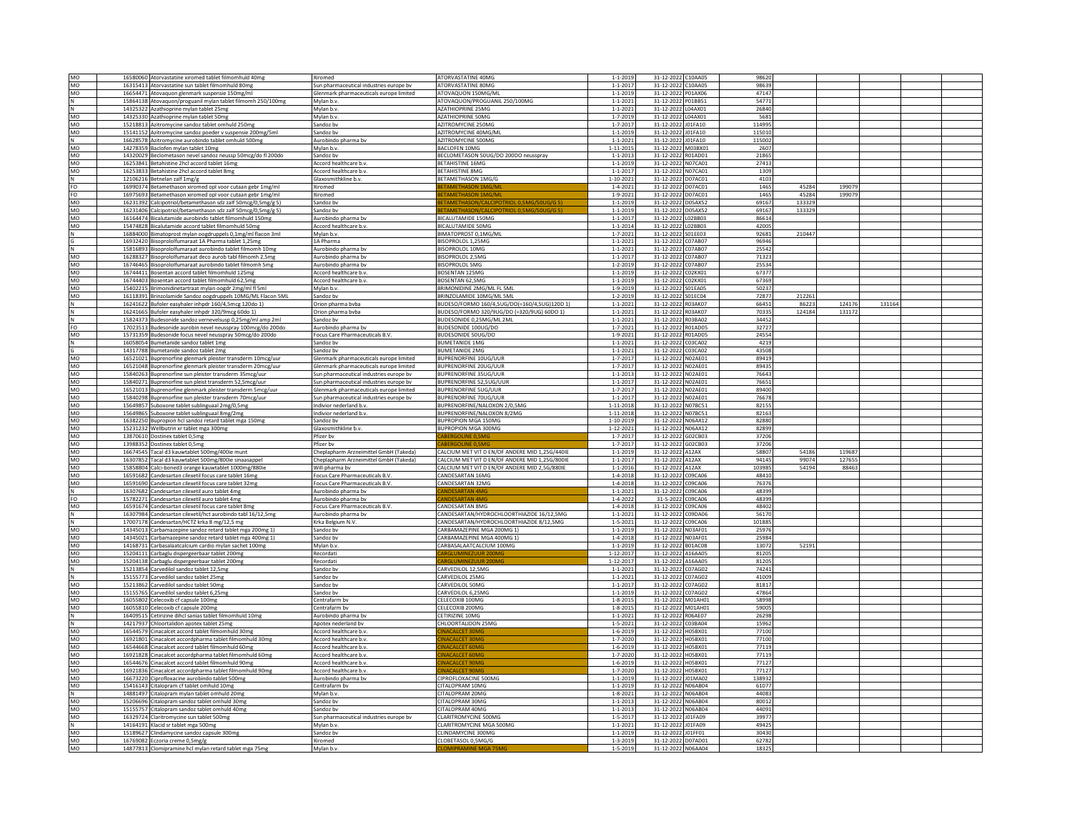| MO        | 16580060 Atorvastatine xiromed tablet filmomhuld 40mg                                    | Xiromed                                 | ATORVASTATINE 40MG                             | $1 - 1 - 2019$                   | 31-12-2022 C10AA05                       | 98620          |        |        |       |  |
|-----------|------------------------------------------------------------------------------------------|-----------------------------------------|------------------------------------------------|----------------------------------|------------------------------------------|----------------|--------|--------|-------|--|
| MO        | 16315413 Atorvastatine sun tablet filmomhuld 80mg                                        | Sun pharmaceutical industries europe bv | ATORVASTATINE 80MG                             | $1 - 1 - 2017$                   | 31-12-2022 C10AA05                       | 98639          |        |        |       |  |
| MO        |                                                                                          | Glenmark pharmaceuticals europe limited | ATOVAOUON 150MG/MI                             | $1 - 1 - 2019$                   | 31-12-2022 P01AX06                       | 47147          |        |        |       |  |
|           | 16654471 Atovaquon glenmark suspensie 150mg/ml                                           |                                         |                                                |                                  |                                          |                |        |        |       |  |
| N         | 15864138 Atovaquon/proguanil mylan tablet filmomh 250/100mg                              | Mylan b.v.                              | ATOVAQUON/PROGUANIL 250/100MG                  | $1 - 1 - 2021$                   | 31-12-2022 P01BB51                       | 5477           |        |        |       |  |
| N         | 14325322 Azathioprine mylan tablet 25mg                                                  | Mylan b.v                               | <b>AZATHIOPRINE 25MG</b>                       | $1 - 1 - 2021$                   | 31-12-2022 L04AX01                       | 26840          |        |        |       |  |
| MO        | 14325330 Azathioprine mylan tablet 50mg                                                  | Mylan b.v                               | AZATHIOPRINE 50MG                              | $1 - 7 - 201$                    | 31-12-2022 L04AX01                       | 5681           |        |        |       |  |
| <b>MO</b> | 15218813 Azitromycine sandoz tablet omhuld 250mg                                         | Sandoz by                               | <b>AZITROMYCINE 250MG</b>                      | $1 - 7 - 201$                    | 31-12-2022 J01FA10                       | 114995         |        |        |       |  |
|           |                                                                                          |                                         |                                                |                                  |                                          |                |        |        |       |  |
| MO        | 15141152 Azitromycine sandoz poeder v suspensie 200mg/5ml                                | Sandoz bv                               | AZITROMYCINE 40MG/ML                           | $1 - 1 - 2019$                   | 31-12-2022 J01FA10                       | 115010         |        |        |       |  |
| N         | 16628578 Azitromycine aurobindo tablet omhuld 500mg                                      | Aurobindo pharma bv                     | AZITROMYCINE 500MG                             | $1 - 1 - 2021$                   | 31-12-2022 J01FA10                       | 115002         |        |        |       |  |
| MO        | 14278359 Baclofen mylan tablet 10mg                                                      | Mylan b.v.                              | <b>BACLOFEN 10MG</b>                           | 1-11-2015                        | 31-12-2022 M03BX01                       | 2607           |        |        |       |  |
|           |                                                                                          | Sandoz by                               |                                                | $1 - 1 - 201$                    |                                          | 2186           |        |        |       |  |
| MO        | 14320029 Beclometason nevel sandoz neussp 50mcg/do fl 200do                              |                                         | BECLOMETASON 50UG/DO 200DO neusspray           |                                  | 31-12-2022 R01AD01                       |                |        |        |       |  |
| MO        | 16253841 Betahistine 2hcl accord tablet 16mg                                             | Accord healthcare b.v.                  | <b>BETAHISTINE 16MG</b>                        | $1 - 1 - 2019$                   | 31-12-2022 N07CA01                       | 27413          |        |        |       |  |
| MO        | 16253833 Betahistine 2hcl accord tablet 8mg                                              | Accord healthcare b.v.                  | BETAHISTINE 8MG                                | $1 - 1 - 2017$                   | 31-12-2022 N07CA01                       | 1309           |        |        |       |  |
| N         | 12106216 Betnelan zalf 1mg/g                                                             | Glaxosmithkline b.v.                    | <b>BETAMETHASON 1MG/G</b>                      | $1 - 10 - 2021$                  | 31-12-2022 D07AC01                       | 4103           |        |        |       |  |
|           |                                                                                          |                                         |                                                |                                  |                                          |                |        |        |       |  |
| FO.       | 16990374 Betamethason xiromed opl voor cutaan gebr 1mg/ml                                | Xiromed                                 |                                                | $1 - 4 - 202$                    | 31-12-2022 D07AC01                       | 1465           | 45284  | 199079 |       |  |
| FO        | 16975693 Betamethason xiromed opl voor cutaan gebr 1mg/ml                                | Xiromed                                 | TAMETHASON 1MG/ML                              | $1 - 9 - 2021$                   | 31-12-2022 D07AC01                       | 1465           | 45284  | 199079 |       |  |
| MO        | 16231392 Calcipotriol/betamethason sdz zalf 50mcg/0,5mg/g 5)                             | Sandoz by                               | <b>TAMETHASON/CALCIPOTRIOL 0.5MG/50UG/GS</b>   | $1 - 1 - 2019$                   | 31-12-2022 D05AX52                       | 69167          | 133329 |        |       |  |
| MO        | 16231406 Calcipotriol/betamethason sdz zalf 50mcg/0,5mg/g 5)                             | Sandoz bv                               | TAMETHASON/CALCIPOTRIOL 0.5MG/50UG/G           | $1 - 1 - 2019$                   | 31-12-2022 D05AX52                       | 6916           | 133329 |        |       |  |
|           |                                                                                          |                                         |                                                |                                  |                                          |                |        |        |       |  |
| <b>MO</b> | 16164474 Bicalutamide aurobindo tablet filmomhuld 150mg                                  | Aurobindo pharma by                     | BICALUTAMIDE 150MG                             | $1 - 1 - 2017$                   | 31-12-2022 L02BB03                       | 86614          |        |        |       |  |
| MO        | 15474828 Bicalutamide accord tablet filmomhuld 50mg                                      | Accord healthcare b.v.                  | BICALUTAMIDE 50MG                              | $1 - 1 - 2014$                   | 31-12-2022 L02BB03                       | 42005          |        |        |       |  |
|           | 16884000 Bimatoprost mylan oogdruppels 0,1mg/ml flacon 3ml                               | Mylan b.v.                              | <b>BIMATOPROST 0.1MG/ML</b>                    | $1 - 7 - 2021$                   | 31-12-2022 SO1EE03                       | 92681          | 210447 |        |       |  |
|           |                                                                                          | 1A Pharma                               |                                                |                                  |                                          | 96946          |        |        |       |  |
| G         | 16932420 Bisoprololfumaraat 1A Pharma tablet 1,25mg                                      |                                         | BISOPROLOL 1,25MG                              | $1 - 1 - 2021$                   | 31-12-2022 C07AB07                       |                |        |        |       |  |
| N         | 15816893 Bisoprololfumaraat aurobindo tablet filmomh 10mg                                | Aurobindo pharma bv                     | BISOPROLOL 10MG                                | $1 - 1 - 202$                    | 31-12-2022 C07AB07                       | 25542          |        |        |       |  |
| MO        | 16288327 Bisoprololfumaraat deco aurob tabl filmomh 2,5mg                                | Aurobindo pharma by                     | <b>BISOPROLOL 2.5MG</b>                        | $1 - 1 - 2017$                   | 31-12-2022 C07AB07                       | 71323          |        |        |       |  |
| MO        | 16746465 Bisoprololfumaraat aurobindo tablet filmomh 5mg                                 | Aurobindo pharma by                     | <b>BISOPROLOL 5MG</b>                          | $1 - 2 - 201$                    | 31-12-2022 C07AB07                       | 25534          |        |        |       |  |
| MO        | 16744411 Bosentan accord tablet filmomhuld 125mg                                         |                                         | <b>BOSENTAN 125MG</b>                          | $1 - 1 - 2019$                   |                                          |                |        |        |       |  |
|           |                                                                                          | Accord healthcare b.v.                  |                                                |                                  | 31-12-2022 C02KX01                       | 67377          |        |        |       |  |
| MO        | 16744403 Bosentan accord tablet filmomhuld 62,5mg                                        | Accord healthcare b.v.                  | BOSENTAN 62,5MG                                | $1 - 1 - 2019$                   | 31-12-2022 C02KX01                       | 67369          |        |        |       |  |
| MO        | 15402215 Brimonidinetartraat mylan oogdr 2mg/ml fl 5ml                                   | Mylan b.v.                              | <b>BRIMONIDINE 2MG/ML FL 5ML</b>               | 1-9-2019                         | 31-12-2022 SO1EA05                       | 50237          |        |        |       |  |
|           |                                                                                          |                                         |                                                |                                  |                                          |                |        |        |       |  |
| MO        | 16118391 Brinzolamide Sandoz oogdruppels 10MG/ML Flacon 5ML                              | Sandoz bv                               | BRINZOLAMIDE 10MG/ML 5MI                       | $1 - 2 - 2019$                   | 31-12-2022 S01EC04                       | 72877          | 212261 |        |       |  |
| N         | 16241622 Bufoler easyhaler inhpdr 160/4,5mcg 120do 1)                                    | Orion pharma bvba                       | BUDESO/FORMO 160/4,5UG/DO(=160/4,5UG)120D 1)   | $1 - 1 - 2021$                   | 31-12-2022 R03AK07                       | 66451          | 86223  | 124176 | 13116 |  |
| N         | 16241665 Bufoler easyhaler inhpdr 320/9mcg 60do 1)                                       | Orion pharma byba                       | BUDESO/FORMO 320/9UG/DO (=320/9UG) 60DO 1)     | $1 - 1 - 2021$                   | 31-12-2022 R03AK07                       | 70335          | 124184 | 131172 |       |  |
|           |                                                                                          | Sandoz bv                               | BUDESONIDE 0,25MG/ML 2ML                       | $1 - 1 - 202$                    | 31-12-2022 R03BA02                       | 34452          |        |        |       |  |
| N         | 15824373 Budesonide sandoz vernevelsusp 0,25mg/ml amp 2ml                                |                                         |                                                |                                  |                                          |                |        |        |       |  |
| FO        | 17023513 Budesonide aurobin nevel neusspray 100mcg/do 200do                              | Aurobindo pharma by                     | BUDESONIDE 100UG/DO                            | $1 - 7 - 2021$                   | 31-12-2022 R01AD05                       | 32727          |        |        |       |  |
| MO        | 15731359 Budesonide focus nevel neusspray 50mcg/do 200do                                 | Focus Care Pharmaceuticals B.V.         | BUDESONIDE 50UG/DO                             | $1 - 9 - 2021$                   | 31-12-2022 R01AD05                       | 24554          |        |        |       |  |
| N         | 16058054 Bumetanide sandoz tablet 1mg                                                    | Sandoz bv                               | <b>BUMETANIDE 1MG</b>                          | $1 - 1 - 2021$                   | 31-12-2022 C03CA02                       | 4219           |        |        |       |  |
|           |                                                                                          |                                         |                                                |                                  |                                          |                |        |        |       |  |
| G         | 14317788 Bumetanide sandoz tablet 2mg                                                    | Sandoz by                               | <b>BUMETANIDE 2MG</b>                          | $1 - 1 - 2021$                   | 31-12-2022 C03CA02                       | 43508          |        |        |       |  |
| MO        | 16521021 Buprenorfine glenmark pleister transderm 10mcg/uur                              | Glenmark pharmaceuticals europe limited | <b>BUPRENORFINE 10UG/UUR</b>                   | $1 - 7 - 2017$                   | 31-12-2022 NO2AE01                       | 89419          |        |        |       |  |
| MO        | 16521048 Buprenorfine glenmark pleister transderm 20mcg/uur                              | Glenmark pharmaceuticals europe limited | <b>BUPRENORFINE 20UG/UUR</b>                   | $1 - 7 - 201$                    | 31-12-2022 NO2AE01                       | 89435          |        |        |       |  |
| MO        | 15840263 Buprenorfine sun pleister transderm 35mcg/uur                                   | Sun pharmaceutical industries europe bv | <b>BUPRENORFINE 35UG/UUR</b>                   | $1 - 1 - 201$                    | 31-12-2022 NO2AE01                       | 76643          |        |        |       |  |
|           |                                                                                          |                                         |                                                |                                  |                                          |                |        |        |       |  |
| MO        | 15840271 Buprenorfine sun pleist transderm 52,5mcg/uur                                   | Sun pharmaceutical industries europe bv | <b>BUPRENORFINE 52.5UG/UUR</b>                 | $1 - 1 - 2017$                   | 31-12-2022 NO2AE01                       | 76651          |        |        |       |  |
| MO        | 16521013 Buprenorfine glenmark pleister transderm 5mcg/uur                               | Glenmark pharmaceuticals europe limited | BUPRENORFINE 5UG/UUR                           | $1 - 7 - 2017$                   | 31-12-2022 NO2AE01                       | 89400          |        |        |       |  |
| MO        | 15840298 Buprenorfine sun pleister transderm 70mcg/uur                                   | Sun pharmaceutical industries europe bv | <b>SUPRENORFINE 70UG/UUR</b>                   | $1 - 1 - 2017$                   | 31-12-2022 NO2AE01                       | 76678          |        |        |       |  |
|           |                                                                                          | Indivior nederland b.v.                 | BUPRENORFINE/NALOXON 2/0.5MG                   |                                  |                                          | 82155          |        |        |       |  |
| MO        | 15649857 Suboxone tablet sublinguaal 2mg/0,5mg                                           |                                         |                                                | 1-11-2018                        | 31-12-2022 N07BC51                       |                |        |        |       |  |
|           |                                                                                          | Indivior nederland b.v.                 | BUPRENORFINE/NALOXON 8/2MG                     |                                  |                                          | 82163          |        |        |       |  |
| MO        | 15649865 Suboxone tablet sublinguaal 8mg/2mg                                             |                                         |                                                | 1-11-2018                        | 31-12-2022 N07BC51                       |                |        |        |       |  |
| MO        |                                                                                          | Sandoz by                               | <b>BUPROPION MGA 150MG</b>                     | $1 - 10 - 2019$                  | 31-12-2022 N06AX12                       | 82880          |        |        |       |  |
|           | 16382250 Bupropion hcl sandoz retard tablet mga 150mg                                    |                                         |                                                |                                  |                                          |                |        |        |       |  |
| MO        | 15231232 Wellbutrin xr tablet mga 300mg                                                  | Glaxosmithkline b.v.                    | <b>BUPROPION MGA 300MG</b>                     | $1 - 12 - 2021$                  | 31-12-2022 N06AX12                       | 82899          |        |        |       |  |
| MO        | 13870610 Dostinex tablet 0,5mg                                                           | Pfizer bv                               |                                                | $1 - 7 - 2017$                   | 31-12-2022 G02CB03                       | 37206          |        |        |       |  |
|           | 13988352 Dostinex tablet 0,5mg                                                           | Pfizer by                               | <b>ABERGOLINE 0.5MG</b>                        | $1 - 7 - 2017$                   | 31-12-2022 G02CB03                       | 37206          |        |        |       |  |
| MO        |                                                                                          |                                         |                                                |                                  |                                          |                |        |        |       |  |
| MO        | 16674545 Tacal d3 kauwtablet 500mg/400ie munt                                            | Cheplapharm Arzneimittel GmbH (Takeda)  | CALCIUM MET VIT D EN/OF ANDERE MID 1,25G/440IE | $1 - 1 - 2019$                   | 31-12-2022 A12AX                         | 58807          | 54186  | 119687 |       |  |
| MO        | 16307852 Tacal d3 kauwtablet 500mg/800ie sinaasappel                                     | Cheolapharm Arzneimittel GmbH (Takeda)  | CALCIUM MET VIT D EN/OF ANDERE MID 1.25G/800IF | $1 - 1 - 2017$                   | 31-12-2022 A12AX                         | 94145          | 99074  | 127655 |       |  |
| MO        | 15858804 Calci-boned3 orange kauwtablet 1000mg/880ie                                     | Will-pharma bv                          | CALCIUM MET VIT D EN/OF ANDERE MID 2,5G/880IE  | $1 - 1 - 2016$                   | 31-12-2022 A12AX                         | 103985         | 54194  | 88463  |       |  |
| MO        | 16591682 Candesartan cilexetil focus care tablet 16mg                                    | Focus Care Pharmaceuticals B.V.         | CANDESARTAN 16MG                               | $1 - 4 - 2018$                   | 31-12-2022 C09CA06                       | 48410          |        |        |       |  |
|           |                                                                                          |                                         |                                                |                                  |                                          |                |        |        |       |  |
| MO        | 16591690 Candesartan cilexetil focus care tablet 32mg                                    | Focus Care Pharmaceuticals B.V.         | CANDESARTAN 32MG                               | $1 - 4 - 2018$                   | 31-12-2022 C09CA06                       | 76376          |        |        |       |  |
| N         | 16307682 Candesartan cilexetil auro tablet 4mg                                           | Aurobindo pharma bv                     | <b>ANDESARTAN 4M</b>                           | $1 - 1 - 2021$                   | 31-12-2022 C09CA06                       | 48399          |        |        |       |  |
| FO        | 15782271 Candesartan cilexetil auro tablet 4mg                                           | Aurobindo pharma bv                     | <b>ANDESARTAN 4M</b>                           | $1 - 4 - 2022$                   | 31-5-2022 C09CA06                        | 48399          |        |        |       |  |
|           |                                                                                          | Focus Care Pharmaceuticals B.V.         | CANDESARTAN 8MG                                | $1 - 4 - 2018$                   |                                          | 4840           |        |        |       |  |
| MO        | 16591674 Candesartan cilexetil focus care tablet 8mg                                     |                                         |                                                |                                  | 31-12-2022 C09CA06                       |                |        |        |       |  |
| N         | 16307984 Candesartan cilexetil/hct aurobindo tabl 16/12.5mg                              | Aurobindo pharma by                     | CANDESARTAN/HYDROCHLOORTHIAZIDE 16/12.5MG      | $1 - 1 - 2021$                   | 31-12-2022 C09DA06                       | 56170          |        |        |       |  |
| N         | 17007178 Candesartan/HCTZ krka 8 mg/12,5 mg                                              | Krka Belgium N.V.                       | CANDESARTAN/HYDROCHLOORTHIAZIDE 8/12,5MG       | $1 - 5 - 202$                    | 31-12-2022 C09CA06                       | 101885         |        |        |       |  |
| MO        | 14345013 Carbamazepine sandoz retard tablet mga 200mg 1)                                 | Sandoz by                               | CARBAMAZEPINE MGA 200MG 11                     | $1 - 1 - 2019$                   | 31-12-2022 N03AF01                       | 25976          |        |        |       |  |
| MO        | 14345021 Carbamazepine sandoz retard tablet mga 400mg 1)                                 | Sandoz bv                               | CARBAMAZEPINE MGA 400MG 11                     | $1 - 4 - 2018$                   | 31-12-2022 N03AF01                       | 25984          |        |        |       |  |
|           |                                                                                          |                                         |                                                |                                  |                                          |                |        |        |       |  |
| MO        | 14168731 Carbasalaatcalcium cardio mylan sachet 100mg                                    | Mylan b.v.                              | CARBASALAATCALCIUM 100MG                       | $1 - 1 - 2019$                   | 31-12-2022 B01AC08                       | 13072          | 52191  |        |       |  |
| MO        | 15204111 Carbaglu dispergeerbaar tablet 200mg                                            | Recordati                               |                                                | $1 - 12 - 2017$                  | 31-12-2022 A16AA05                       | 81205          |        |        |       |  |
| MO        | 15204138 Carbaglu dispergeerbaar tablet 200mg                                            | Recordati                               |                                                | $1 - 12 - 2017$                  | 31-12-2022 A16AA05                       | 81205          |        |        |       |  |
| N         | 15213854 Carvedilol sandoz tablet 12,5mg                                                 | Sandoz by                               | CARVEDILOL 12.5MG                              | $1 - 1 - 2021$                   | 31-12-2022 C07AG02                       | 74241          |        |        |       |  |
|           |                                                                                          |                                         |                                                |                                  |                                          |                |        |        |       |  |
| N         | 15155773 Carvedilol sandoz tablet 25mg                                                   | Sandoz bv                               | CARVEDILOL 25MG                                | $1 - 1 - 2021$                   | 31-12-2022 C07AG02                       | 41009          |        |        |       |  |
| MO        | 15213862 Carvedilol sandoz tablet 50mg                                                   | Sandoz by                               | CARVEDILOL 50MG                                | $1 - 1 - 201$                    | 31-12-2022 C07AG02                       | 81817          |        |        |       |  |
| MO        | 15155765 Carvedilol sandoz tablet 6,25mg                                                 | Sandoz bv                               | CARVEDILOL 6,25MG                              | $1 - 1 - 2019$                   | 31-12-2022 C07AG02                       | 47864          |        |        |       |  |
| MO        | 16055802 Celecoxib cf capsule 100mg                                                      | Centrafarm by                           | CELECOXIB 100MG                                | $1 - 8 - 2015$                   | 31-12-2022 M01AH01                       | 58998          |        |        |       |  |
|           |                                                                                          | Centrafarm by                           | CELECOXIB 200MG                                | $1 - 8 - 2015$                   |                                          | 59005          |        |        |       |  |
| MO        | 16055810 Celecoxib cf capsule 200mg                                                      |                                         |                                                |                                  | 31-12-2022 M01AH01                       |                |        |        |       |  |
| N         | 16409515 Cetirizine dihcl sanias tablet filmomhuld 10mg                                  | Aurobindo pharma bv                     | CETIRIZINE 10MG                                | $1 - 1 - 2021$                   | 31-12-2022 R06AE07                       | 26298          |        |        |       |  |
| N         | 14217937 Chloortalidon apotex tablet 25mg                                                | Apotex nederland by                     | CHI OORTALIDON 25MG                            | $1 - 5 - 2021$                   | 31-12-2022 C03BA04                       | 15962          |        |        |       |  |
| MO        | 16544579 Cinacalcet accord tablet filmomhuld 30mg                                        | Accord healthcare b.v                   | <b>IACALCET 30N</b>                            | $1 - 6 - 2019$                   | 31-12-2022 H05BX01                       | 77100          |        |        |       |  |
|           |                                                                                          |                                         |                                                |                                  |                                          |                |        |        |       |  |
| MO        | 16921801 Cinacalcet accordpharma tablet filmomhuld 30mg                                  | Accord healthcare b.v.                  | <b>NACALCET 30M</b>                            | $1 - 7 - 2020$                   | 31-12-2022 H05BX01                       | 77100          |        |        |       |  |
| MO        | 16544668 Cinacalcet accord tablet filmomhuld 60mg                                        | Accord healthcare b.v                   | NACALCET 60MC                                  | $1 - 6 - 2019$                   | 31-12-2022 H05BX01                       | 77119          |        |        |       |  |
| MO        | 16921828 Cinacalcet accordpharma tablet filmomhuld 60mg                                  | Accord healthcare b.v.                  | <b>NACALCET 60M</b>                            | $1 - 7 - 2020$                   | 31-12-2022 H05BX01                       | 77119          |        |        |       |  |
| <b>MO</b> |                                                                                          | Accord healthcare b.v.                  | NACALCET 90MC                                  | $1 - 6 - 2019$                   | 31-12-2022 H05BX01                       | 77127          |        |        |       |  |
|           | 16544676 Cinacalcet accord tablet filmomhuld 90mg                                        |                                         |                                                |                                  |                                          |                |        |        |       |  |
| MO        | 16921836 Cinacalcet accordpharma tablet filmomhuld 90mg                                  | Accord healthcare b.v                   |                                                | $1 - 7 - 202$                    | 31-12-2022 H05BX01                       | 7712           |        |        |       |  |
| MO        | 16673220 Ciprofloxacine aurobindo tablet 500mg                                           | Aurobindo pharma by                     | CIPROFLOXACINE 500MG                           | $1 - 1 - 2019$                   | 31-12-2022 J01MA02                       | 138932         |        |        |       |  |
|           | 15416143 Citalopram cf tablet omhuld 10mg                                                | Centrafarm bv                           | CITALOPRAM 10MG                                | $1 - 1 - 2019$                   | 31-12-2022 N06AB04                       | 61077          |        |        |       |  |
| MO<br>N   | 14881497 Citalopram mylan tablet omhuld 20mg                                             | Mylan b.v.                              |                                                | $1 - 8 - 202$                    | 31-12-2022 N06AB04                       |                |        |        |       |  |
|           |                                                                                          |                                         | CITALOPRAM 20MG                                |                                  |                                          | 44083          |        |        |       |  |
| MO        | 15206696 Citalopram sandoz tablet omhuld 30mg                                            | Sandoz by                               | CITALOPRAM 30MG                                | $1 - 1 - 201$                    | 31-12-2022 N06AB04                       | 80012          |        |        |       |  |
| MO        | 15155757 Citalopram sandoz tablet omhuld 40mg                                            | Sandoz bv                               | CITALOPRAM 40MG                                | $1 - 1 - 2013$                   | 31-12-2022 N06AB04                       | 44091          |        |        |       |  |
| MO        | 16329724 Claritromycine sun tablet 500mg                                                 | Sun pharmaceutical industries europe bv | CLARITROMYCINE 500MG                           | $1 - 5 - 2017$                   | 31-12-2022 J01FA09                       | 39977          |        |        |       |  |
|           |                                                                                          |                                         |                                                |                                  |                                          |                |        |        |       |  |
| N         | 14164191 Klacid sr tablet mga 500mg                                                      | Mylan b.v                               | CLARITROMYCINE MGA 500MG                       | $1 - 1 - 2021$                   | 31-12-2022 J01FA09                       | 4942           |        |        |       |  |
| MO        | 15189627 Clindamycine sandoz capsule 300mg                                               | Sandoz by                               | <b>CLINDAMYCINE 300MG</b>                      | $1 - 1 - 2019$                   | 31-12-2022 J01FF01                       | 30430          |        |        |       |  |
| MO<br>MO  | 16769082 Eczoria creme 0,5mg/g<br>14877813 Clomipramine hcl mylan retard tablet mga 75mg | Xiromed<br>Mylan b.y                    | CLOBETASOL 0.5MG/G                             | $1 - 3 - 2019$<br>$1 - 5 - 2019$ | 31-12-2022 D07AD01<br>31-12-2022 N06AA04 | 62782<br>18325 |        |        |       |  |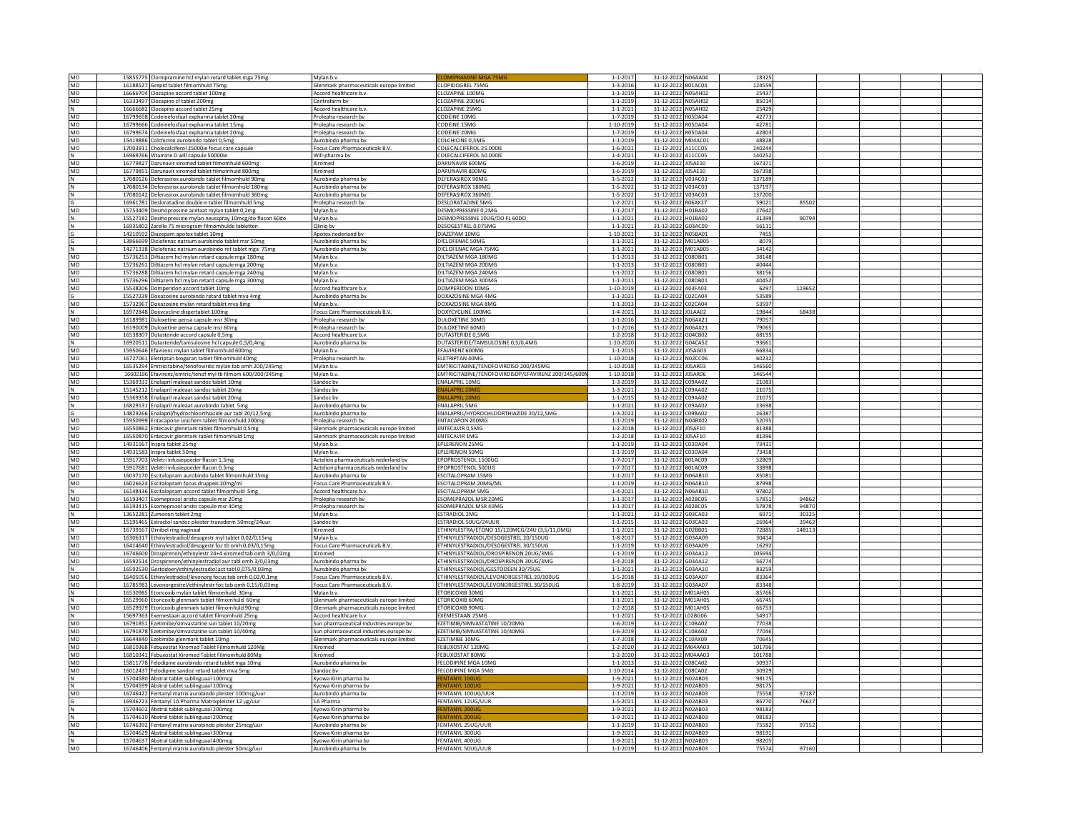| MO           | 15855775 Clomipramine hcl mylan retard tablet mga 75mg                                              | Mylan b.v                                    |                                                     | $1 - 1 - 2017$               | 31-12-2022 N06AA04                   | 18325  |        |  |  |
|--------------|-----------------------------------------------------------------------------------------------------|----------------------------------------------|-----------------------------------------------------|------------------------------|--------------------------------------|--------|--------|--|--|
| MO           | 16188527 Grepid tablet filmomhuld 75mg                                                              | Glenmark pharmaceuticals europe limited      | CLOPIDOGREL 75MG                                    | $1 - 3 - 2016$               | 31-12-2022 B01AC04                   | 124559 |        |  |  |
| MO           | 16666704 Clozapine accord tablet 100mg                                                              | Accord healthcare b.v.                       | CLOZAPINE 100MG                                     | $1 - 1 - 2019$               | 31-12-2022 N05AH02                   | 25437  |        |  |  |
| MO           | 16333497 Clozapine cf tablet 200mg                                                                  | Centrafarm bv                                | CLOZAPINE 200MG                                     | $1 - 1 - 2019$               | 31-12-2022 N05AH02                   | 85014  |        |  |  |
|              | 16666682 Clozapine accord tablet 25mg                                                               | Accord healthcare b.v.                       | CLOZAPINE 25MG                                      | $1 - 1 - 2021$               | 31-12-2022 N05AH02                   | 25429  |        |  |  |
| MO           | 16799658 Codeinefosfaat expharma tablet 10m                                                         | Prolepha research by                         | CODEINE 10MG                                        | $1 - 7 - 2019$               | 31-12-2022 R05DA04                   | 42773  |        |  |  |
| MO           | 16799666 Codeinefosfaat expharma tablet 15mg                                                        | rolepha research by                          | CODEINE 15MC                                        | $1 - 10 - 2019$              | 31-12-2022 R05DA04                   | 42781  |        |  |  |
| MO           |                                                                                                     |                                              | CODEINE 20MG                                        | $1 - 7 - 2019$               | 31-12-2022 R05DA04                   | 42803  |        |  |  |
|              | 16799674 Codeinefosfaat expharma tablet 20mg                                                        | Prolepha research by                         |                                                     |                              |                                      |        |        |  |  |
| MO           | 15419886 Colchicine aurobindo tablet 0,5mg                                                          | Aurobindo pharma bv                          | COLCHICINE 0,5MG                                    | $1 - 1 - 2019$               | 31-12-2022 M04AC01                   | 48828  |        |  |  |
| MO           | 17003911 Cholecalciferol 25000ie focus care capsule                                                 | Focus Care Pharmaceuticals B.V               | COLECALCIFEROL 25,000IE                             | $1 - 6 - 2021$               | 31-12-2022 A11CC05                   | 140244 |        |  |  |
| N            | 16969766 Vitamine D will capsule 50000ie                                                            | Will-pharma bv                               | COLECALCIFEROL 50,000IE                             | $1 - 4 - 2021$               | 31-12-2022 A11CC05                   | 140252 |        |  |  |
| MO           | 16779827 Darunavir xiromed tablet filmomhuld 600mg                                                  | Xiromed                                      | DARUNAVIR 600MG                                     | $1 - 6 - 2019$               | 31-12-2022 J05AE10                   | 167371 |        |  |  |
| <b>MO</b>    | 16779851 Darunavir xiromed tablet filmomhuld 800mg                                                  | Xiromed                                      | DARUNAVIR 800MG                                     | $1 - 6 - 2019$               | 31-12-2022 IOSAE10                   | 167398 |        |  |  |
|              | 17080126 Deferasirox aurobindo tablet filmomhuld 90mg                                               | Aurobindo pharma bv                          | DEFERASIROX 90MG                                    | $1 - 5 - 2022$               | 31-12-2022<br>V03AC03                | 137189 |        |  |  |
|              | 17080134 Deferasirox aurobindo tablet filmomhuld 180mg                                              | Aurobindo pharma b                           | DEFERASIROX 180MG                                   | $1 - 5 - 2022$               | 31-12-2022 V03AC03                   | 137197 |        |  |  |
|              | 17080142 Deferasirox aurobindo tablet filmomhuld 360mg                                              | Aurobindo pharma bv                          | DEFERASIROX 360MG                                   | $1 - 5 - 2022$               | 31-12-2022 V03AC03                   | 137200 |        |  |  |
|              | 16961781 Desloratadine double-e tablet filmomhuld 5mg                                               | Prolepha research bv                         | DESLORATADINE 5MG                                   | $1 - 2 - 2021$               | 31-12-2022 R06AX27                   | 59021  | 85502  |  |  |
|              |                                                                                                     |                                              |                                                     |                              |                                      |        |        |  |  |
| MO           | 15753409 Desmopressine acetaat mylan tablet 0,2mg                                                   | Mylan b.v.                                   | DESMOPRESSINE 0,2MG                                 | $1 - 1 - 2017$               | 31-12-2022 H01BA02                   | 27642  |        |  |  |
| N            | 15527182 Desmopressine mylan neusspray 10mcg/do flacon 60do                                         | Mylan b.v.                                   | DESMOPRESSINE 10UG/DO FL 60DO                       | $1 - 1 - 2021$               | 31-12-2022 H01BA02                   | 31399  | 90794  |  |  |
| N            | 16935802 Zarelle 75 microgram filmomhulde tabletten                                                 | Qliniq bv                                    | DESOGESTREL 0.075MG                                 | $1 - 1 - 2021$               | 31-12-2022 G03AC09                   | 56111  |        |  |  |
|              | 14210592 Diazepam apotex tablet 10mg                                                                | Apotex nederland by                          | DIAZEPAM 10MG                                       | $1 - 10 - 2021$              | 31-12-2022<br><b>N05BA01</b>         | 7455   |        |  |  |
| G            | 13866699 Diclofenac natrium aurobindo tablet msr 50mg                                               | Aurobindo pharma by                          | DICLOFENAC 50MG                                     | $1 - 1 - 2021$               | 31-12-2022 M01AB05                   | 8079   |        |  |  |
| N            | 14271338 Diclofenac natrium aurobindo ret tablet mga 75mg                                           | Aurobindo pharma bv                          | DICLOFENAC MGA 75MG                                 | $1 - 1 - 2021$               | 31-12-2022 M01AB05                   | 34142  |        |  |  |
| MO           | 15736253 Diltiazem hcl mylan retard capsule mga 180mg                                               | Mylan b.y                                    | DILTIAZEM MGA 180MG                                 | $1 - 1 - 2013$               | 31-12-2022<br>C08DB01                | 38148  |        |  |  |
| MO           | 15736261 Diltiazem hcl mylan retard capsule mga 200mg                                               | Mylan b.v.                                   | DILTIAZEM MGA 200MG                                 | $1 - 1 - 2013$               | 31-12-2022 C08DB01                   | 40444  |        |  |  |
| MO           | 15736288 Diltiazem hcl mylan retard capsule mga 240mg                                               | Mylan b.v.                                   | DILTIAZEM MGA 240MG                                 | $1 - 1 - 2012$               | 31-12-2022 C08DB01                   | 38156  |        |  |  |
| MO           | 15736296 Diltiazem hcl mylan retard capsule mga 300mg                                               | Mylan h.v.                                   | DILTIAZEM MGA 300MG                                 | $1 - 1 - 2011$               | 31-12-2022 CO8DB01                   | 40452  |        |  |  |
| MO           |                                                                                                     | Accord healthcare b.v                        | DOMPERIDON 10MG                                     | 1-10-2019                    | 31-12-2022<br>A03FA03                | 6297   | 119652 |  |  |
|              | 15538206 Domperidon accord tablet 10mg                                                              |                                              |                                                     |                              |                                      |        |        |  |  |
| G            | 15527239 Doxazosine aurobindo retard tablet mya 4mg                                                 | Aurobindo pharma by                          | DOXAZOSINE MGA 4MG                                  | $1 - 1 - 2021$               | 31-12-2022 C02CA04                   | 53589  |        |  |  |
| MO           | 15732967 Doxazosine mylan retard tablet mva 8mg                                                     | Mylan b.v                                    | DOXAZOSINE MGA 8MG                                  | $1 - 1 - 2013$               | 31-12-2022 C02CA04                   | 53597  |        |  |  |
| N            | 16972848 Doxycycline dispertablet 100mg                                                             | Focus Care Pharmaceuticals B.V.              | DOXYCYCLINE 100MG                                   | $1 - 4 - 2021$               | 31-12-2022<br>J01AA02                | 19844  | 68438  |  |  |
| MO           | 16189981 Duloxetine pensa capsule msr 30mg                                                          | Prolepha research by                         | DULOXETINE 30MG                                     | $1 - 1 - 2016$               | 31-12-2022 N06AX21                   | 79057  |        |  |  |
| MO           | 16190009 Duloxetine pensa capsule msr 60mg                                                          | Prolepha research bv                         | DULOXETINE 60MG                                     | $1 - 1 - 2016$               | 31-12-2022 N06AX21                   | 79065  |        |  |  |
| MO           | 16538307 Dutasteride accord capsule 0,5mg                                                           | Accord healthcare b.v.                       | DUTASTERIDE 0.5MG                                   | $1 - 2 - 2018$               | 31-12-2022 G04CB02                   | 68195  |        |  |  |
|              | 16920511 Dutasteride/tamsulosine hcl capsule 0,5/0,4mg                                              | Aurobindo pharma bv                          | DUTASTERIDE/TAMSULOSINE 0.5/0.4MG                   | 1-10-2020                    | 31-12-2022 G04CA52                   | 93661  |        |  |  |
| MO           | 15950646 Efavirenz mylan tablet filmomhuld 600mg                                                    | Mylan b.v.                                   | EFAVIRENZ 600MG                                     | $1 - 1 - 2015$               | 31-12-2022 J05AG03                   | 66834  |        |  |  |
|              |                                                                                                     |                                              | ELETRIPTAN 40MG                                     |                              |                                      | 60232  |        |  |  |
| MO<br>MO     | 16727061 Eletriptan biogaran tablet filmomhuld 40mg                                                 | Prolepha research by                         | EMTRICITABINE/TENOFOVIRDISO 200/245MG               | $1 - 10 - 2018$<br>1-10-2018 | 31-12-2022 N02CC06<br><b>J05AR03</b> | 146560 |        |  |  |
|              | 16535294 Emtricitabine/tenofovirdis mylan tab omh 200/245mg                                         | Mylan b.v.                                   |                                                     |                              | 31-12-2022                           |        |        |  |  |
| MO           | 16602196 Efavirenz/emtric/tenof myl tb filmom 600/200/245mg                                         | Mylan b.v                                    | EMTRICITABINE/TENOFOVIRDISOP/EFAVIRENZ 200/245/600N | 1-10-2018                    | 31-12-2022 J05AR06                   | 146544 |        |  |  |
| MO           | 15369331 Enalapril maleaat sandoz tablet 10mg                                                       | Sandoz by                                    | <b>ENALAPRIL 10MG</b>                               | $1 - 3 - 2019$               | 31-12-2022 C09AA02                   | 21083  |        |  |  |
| N            | 15145212 Enalapril maleaat sandoz tablet 20mg                                                       | Sandoz by                                    | NAI APRIL 20M                                       | $1 - 3 - 2021$               | 31-12-2022 C09AA02                   | 21075  |        |  |  |
| MO           | 15369358 Enalapril maleaat sandoz tablet 20mg                                                       | Sandoz bv                                    |                                                     | $1 - 1 - 2015$               | 31-12-2022<br>C09AA02                | 21075  |        |  |  |
| N            | 16829131 Enalapril maleaat aurobindo tablet 5mg                                                     | Aurobindo pharma by                          | <b>FNALAPRIL 5MG</b>                                | $1 - 1 - 2021$               | 31-12-2022 C09AA02                   | 23698  |        |  |  |
| G            | 14829266 Enalapril/hydrochloorthiazide aur tabl 20/12,5mg                                           | Aurobindo pharma bv                          | ENALAPRIL/HYDROCHLOORTHIAZIDE 20/12,5MG             | $1 - 3 - 2022$               | C09BA02<br>31-12-2022                | 26387  |        |  |  |
| MO           | 15950999 Entacapone unichem tablet filmomhuld 200mg                                                 | Prolepha research bv                         | <b>ENTACAPON 200MG</b>                              | $1 - 1 - 2019$               | 31-12-2022 N04BX02                   | 52035  |        |  |  |
| MO           | 16550862 Entecavir glenmark tablet filmomhuld 0,5mg                                                 | Glenmark pharmaceuticals europe limited      | <b>ENTECAVIR 0.5MG</b>                              | $1 - 2 - 2018$               | 31-12-2022 J05AF10                   | 81388  |        |  |  |
| MO           | 16550870 Entecavir glenmark tablet filmomhuld 1mg                                                   | Glenmark pharmaceuticals europe limited      | <b>ENTECAVIR 1MG</b>                                | $1 - 2 - 2018$               | 31-12-2022 J05AF10                   | 81396  |        |  |  |
| MO           |                                                                                                     | Mylan b.v                                    | <b>EPLERENON 25MG</b>                               |                              |                                      | 73431  |        |  |  |
|              | 14931567 Inspra tablet 25mg                                                                         |                                              | EPLERENON 50MG                                      | $1 - 1 - 2019$               | 31-12-2022<br>C03DA04                | 73458  |        |  |  |
| MO           | 14931583 Inspra tablet 50mg                                                                         | Mylan b.v.                                   |                                                     | $1 - 1 - 2019$               | 31-12-2022 C03DA04                   |        |        |  |  |
| MO           | 15917703 Veletri infusiepoeder flacon 1,5mg                                                         | Actelion pharmaceuticals nederland by        | EPOPROSTENOL 1500UG                                 | 1-7-2017                     | 31-12-2022 B01AC09                   | 52809  |        |  |  |
| MO           | 15917681 Veletri infusiepoeder flacon 0,5mg                                                         | Actelion pharmaceuticals nederland by        | EPOPROSTENOL 500UG                                  | $1 - 7 - 2017$               | 31-12-2022 B01AC09                   | 33898  |        |  |  |
| MO           | 16037170 Escitalopram aurobindo tablet filmomhuld 15mg                                              | Aurobindo pharma bv                          | <b>ESCITALOPRAM 15MG</b>                            | $1 - 1 - 2017$               | 31-12-2022 N06AB10                   | 85081  |        |  |  |
| MO           | 16026624 Escitalopram focus druppels 20mg/ml                                                        | Focus Care Pharmaceuticals B.V.              | ESCITALOPRAM 20MG/ML                                | $1 - 1 - 2019$               | 31-12-2022 N06AB10                   | 87998  |        |  |  |
|              | 16148436 Escitalopram accord tablet filmomhuld 5mg                                                  | Accord healthcare b.v                        | <b>ESCITALOPRAM 5MG</b>                             | $1 - 4 - 2021$               | 31-12-2022 N06AB10                   | 97802  |        |  |  |
| MO           | 16193407 Esomeprazol aristo capsule msr 20mg                                                        | Prolepha research bv                         | ESOMEPRAZOL MSR 20MG                                | $1 - 1 - 2017$               | 31-12-2022 A02BC05                   | 57851  | 94862  |  |  |
| MO           | 16193415 Esomeprazol aristo capsule msr 40mg                                                        | rolepha research by                          | ESOMEPRAZOL MSR 40MG                                | $1 - 1 - 2017$               | 31-12-2022<br>A02BC05                | 57878  | 94870  |  |  |
| $\mathsf{N}$ | 13652281 Zumenon tablet 2mg                                                                         | Mylan b.y                                    | <b>FSTRADIOL 2MG</b>                                | $1 - 1 - 2021$               | 31-12-2022 G03CA03                   | 6971   | 30325  |  |  |
| MO           | 15195465 Estradiol sandoz pleister transderm 50mcg/24uur                                            | Sandoz by                                    | ESTRADIOL 50UG/24UUR                                | $1 - 1 - 2015$               | 31-12-2022 G03CA03                   | 26964  | 39462  |  |  |
| N            | 16739167 Ornibel ring vaginaal                                                                      | Xiromed                                      | ETHINYLESTRA/ETONO 15/120MCG/24U (3,5/11,0MG)       | $1 - 1 - 2021$               | 31-12-2022 G02BB01                   | 72885  | 148113 |  |  |
| MO           |                                                                                                     | Mylan b.v                                    | ETHINYLESTRADIOL/DESOGESTREL 20/150UG               | $1 - 8 - 2017$               | 31-12-2022 G03AA09                   | 30414  |        |  |  |
| MO           | 16306317 Ethinylestradiol/desogestr myl tablet 0,02/0,15mg                                          | Focus Care Pharmaceuticals B.V.              | ETHINYLESTRADIOL/DESOGESTREL 30/150UG               | $1 - 1 - 2019$               | 31-12-2022 G03AA09                   | 16292  |        |  |  |
|              | 16414640 Ethinylestradiol/desogestr foc tb omh 0,03/0,15mg                                          |                                              |                                                     |                              |                                      | 105694 |        |  |  |
| MO           | 16746600 Drospirenon/ethinylestr 24+4 xiromed tab omh 3/0,02mg                                      | Xiromed                                      | ETHINYLESTRADIOL/DROSPIRENON 20UG/3MG               | $1 - 1 - 2019$               | 31-12-2022 G03AA12                   |        |        |  |  |
| MO           | 16592514 Drospirenon/ethinylestradiol aur tabl omh 3/0,03mg                                         | Aurobindo pharma bv                          | ETHINYLESTRADIOL/DROSPIRENON 30UG/3MG               | $1 - 4 - 2018$               | 31-12-2022 G03AA12                   | 56774  |        |  |  |
| N            | 16592530 Gestodeen/ethinylestradiol act tabl 0,075/0,03mg                                           | Aurobindo pharma bv                          | ETHINYLESTRADIOL/GESTODEEN 30/75UG                  | $1 - 1 - 2021$               | 31-12-2022 G03AA10                   | 83259  |        |  |  |
| MO           | 16405056 Ethinylestradiol/levonorg focus tab omh 0,02/0,1mg                                         | Focus Care Pharmaceuticals B.V               | ETHINYLESTRADIOL/LEVONORGESTREL 20/100UG            | $1 - 5 - 2018$               | 31-12-2022 G03AA07                   | 83364  |        |  |  |
| MO           | 16785983 Levonorgestrel/ethinylestr foc tab omh 0,15/0,03mg                                         | Focus Care Pharmaceuticals B.V               | ETHINYLESTRADIOL/LEVONORGESTREL 30/150UG            | $1 - 8 - 2019$               | 31-12-2022<br>G03AA07                | 83348  |        |  |  |
| N            | 16530985 Etoricoxib mylan tablet filmomhuld 30mg                                                    | Mylan b.v.                                   | ETORICOXIB 30MG                                     | $1 - 1 - 2021$               | 31-12-2022 M01AH05                   | 85766  |        |  |  |
| N            | 16529960 Etoricoxib glenmark tablet filmomhuld 60mg                                                 | Glenmark pharmaceuticals europe limited      | ETORICOXIB 60MG                                     | $1 - 1 - 2021$               | 31-12-2022 M01AH05                   | 66745  |        |  |  |
| MO           | 16529979 Etoricoxib glenmark tablet filmomhuld 90mg                                                 | Glenmark pharmaceuticals europe limited      | ETORICOXIB 90MG                                     | $1 - 2 - 2018$               | 31-12-2022 M01AH05                   | 66753  |        |  |  |
| N            | 15697363 Exemestaan accord tablet filmomhuld 25ms                                                   | Accord healthcare b.v.                       | <b>EXEMESTAAN 25MG</b>                              | $1 - 1 - 2021$               | 31-12-2022<br>L02BG06                | 54917  |        |  |  |
| MO           | 16791851 Ezetimibe/simvastatine sun tablet 10/20mg                                                  | Sun pharmaceutical industries europe bv      | EZETIMIB/SIMVASTATINE 10/20MG                       | $1 - 6 - 2019$               | 31-12-2022 C10BA02                   | 77038  |        |  |  |
| MO           | 16791878 Ezetimibe/simvastatine sun tablet 10/40mg                                                  | Sun pharmaceutical industries europe bv      | EZETIMIB/SIMVASTATINE 10/40MG                       | $1 - 6 - 2019$               | 31-12-2022 C10BA02                   | 77046  |        |  |  |
| MO           | 16644840 Ezetimibe glenmark tablet 10mg                                                             | Glenmark pharmaceuticals europe limited      | <b>FZETIMIRE 10MG</b>                               | 1-7-2018                     | 31-12-2022<br>C10AX09                | 70645  |        |  |  |
| MO           | 16810368 Febuxostat Xiromed Tablet Filmomhuld 120Mg                                                 | Xiromed                                      | FEBUXOSTAT 120MG                                    | $1 - 2 - 2020$               | 31-12-2022 M04AA03                   | 101796 |        |  |  |
| MO           | 16810341 Febuxostat Xiromed Tablet Filmomhuld 80Mg                                                  |                                              | FEBUXOSTAT 80MG                                     | $1 - 2 - 2020$               | 31-12-2022 M04AA03                   | 101788 |        |  |  |
|              |                                                                                                     | Xiromed                                      |                                                     |                              |                                      |        |        |  |  |
| MO           | 15811778 Felodipine aurobindo retard tablet mga 10mg                                                | Aurobindo pharma bv                          | FELODIPINE MGA 10MG                                 | $1 - 1 - 2013$               | 31-12-2022 C08CA02                   | 30937  |        |  |  |
| MO           | 16012437 Felodipine sandoz retard tablet mva 5mg                                                    | Sandoz bv                                    | <b>FELODIPINE MGA 5MG</b>                           | $1 - 10 - 2014$              | 31-12-2022<br>C08CA02                | 30929  |        |  |  |
| N            | 15704580 Abstral tablet sublinguaal 100mcg                                                          | Kyowa Kirin pharma by                        |                                                     | 1-9-2021                     | 31-12-2022 N02AB03                   | 98175  |        |  |  |
| N            | 15704599 Abstral tablet sublinguaal 100mcg                                                          | Kyowa Kirin pharma bv                        | <b>ENTANYL 100UG</b>                                | $1 - 9 - 2021$               | 31-12-2022 N02AB03                   | 98175  |        |  |  |
| MO           | 16746422 Fentanyl matrix aurobindo pleister 100mcg/uur                                              | Aurobindo pharma bv                          | FENTANYL 100UG/UUR                                  | $1 - 1 - 2019$               | 31-12-2022<br>N02AB03                | 75558  | 97187  |  |  |
|              | 16946723 Fentanyl 1A Pharma Matrixpleister 12 µg/uur                                                | 1A Pharma                                    | FENTANYL 12UG/UUR                                   | $1 - 5 - 2021$               | 31-12-2022 N02AB03                   | 86770  | 76627  |  |  |
| N            | 15704602 Abstral tablet sublinguaal 200mcg                                                          | Kyowa Kirin pharma bv                        | <b>ENTANYI 200U</b>                                 | $1 - 9 - 2021$               | 31-12-2022 N02AB03                   | 98183  |        |  |  |
| N            | 15704610 Abstral tablet sublinguaal 200mcg                                                          | Kyowa Kirin pharma bv                        | <b>ENTANYL 200UG</b>                                | 1-9-2021                     | 31-12-2022 N02AB03                   | 98183  |        |  |  |
| MO           | 16746392 Fentanyl matrix aurobindo pleister 25mcg/uur                                               | Aurobindo pharma by                          | FENTANYL 25UG/UUR                                   | $1 - 1 - 2019$               | 31-12-2022 N02AB03                   | 75582  | 97152  |  |  |
| N            | 15704629 Abstral tablet sublinguaal 300mcg                                                          | Kyowa Kirin pharma bv                        | <b>FENTANYI 300UG</b>                               | $1 - 9 - 2021$               | 31-12-2022 N02AB03                   | 98191  |        |  |  |
|              |                                                                                                     |                                              | FENTANYL 400UG                                      | $1 - 9 - 2021$               | 31-12-2022 N02AB03                   | 98205  |        |  |  |
| N<br>MO      | 15704637 Abstral tablet sublinguaal 400mcg<br>16746406 Fentanyl matrix aurobindo pleister 50mcg/uur | Kyowa Kirin pharma bv<br>Aurobindo pharma by | FENTANYI 50UG/UUR                                   | $1 - 1 - 2019$               | 31-12-2022 N02AB03                   | 75574  | 97160  |  |  |
|              |                                                                                                     |                                              |                                                     |                              |                                      |        |        |  |  |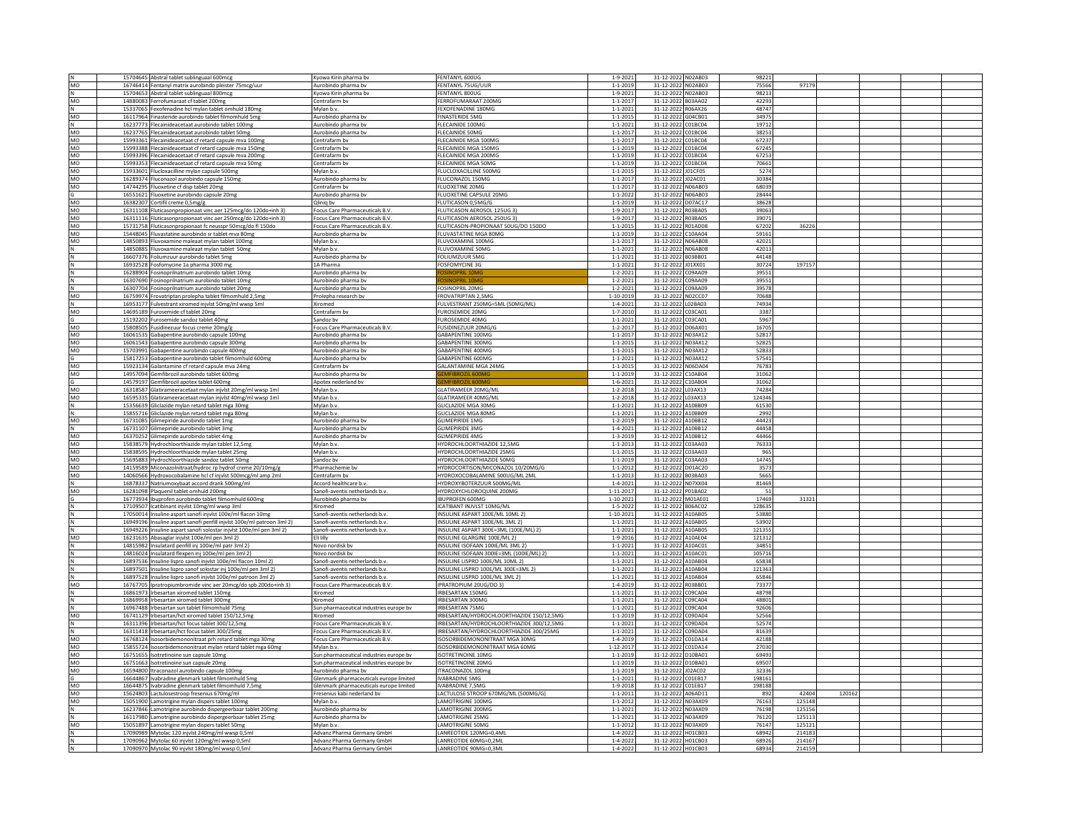|            | 15704645 Abstral tablet sublinguaal 600mcg                                                                                | Kyowa Kirin pharma bv                   | FENTANYL 600UG                            | $1 - 9 - 2021$  | 31-12-2022 N02AB03    | 98221  |        |        |  |  |
|------------|---------------------------------------------------------------------------------------------------------------------------|-----------------------------------------|-------------------------------------------|-----------------|-----------------------|--------|--------|--------|--|--|
| MO         | 16746414 Fentanyl matrix aurobindo pleister 75mcg/uur                                                                     | Aurobindo pharma bv                     | FENTANYL 75UG/UUR                         | $1 - 1 - 2019$  | 31-12-2022 N02AB03    | 75566  | 97179  |        |  |  |
| N          | 15704653 Abstral tablet sublinguaal 800mcg                                                                                | Kyowa Kirin pharma by                   | FENTANYL 800UG                            | $1 - 9 - 2021$  | 31-12-2022 N02AB03    | 98213  |        |        |  |  |
| MO         | 14880083 Ferrofumaraat cf tablet 200mg                                                                                    | Centrafarm bv                           | FERROFUMARAAT 200MG                       | $1 - 1 - 2017$  | 31-12-2022 B03AA02    | 42293  |        |        |  |  |
|            | 15337065 Fexofenadine hcl mylan tablet omhuld 180mg                                                                       | Mylan b.v.                              | FEXOFENADINE 180MG                        | $1 - 1 - 2021$  | 31-12-2022 R06AX26    | 48747  |        |        |  |  |
| MO         | 16117964 Finasteride aurobindo tablet filmomhuld 5mg                                                                      | Aurobindo pharma bv                     | <b>FINASTERIDE 5MG</b>                    | $1 - 1 - 2015$  | 31-12-2022 G04CB01    | 34975  |        |        |  |  |
| N          | 16237773 Flecainideacetaat aurobindo tablet 100mg                                                                         | Aurobindo pharma bv                     | FLECAINIDE 100MG                          | $1 - 1 - 2021$  | 31-12-2022 C01BC04    | 19712  |        |        |  |  |
|            |                                                                                                                           |                                         | <b>FLECAINIDE 50MG</b>                    | $1 - 1 - 2017$  | 31-12-2022 C01BC04    | 38253  |        |        |  |  |
| MO         | 16237765 Flecainideacetaat aurobindo tablet 50mg                                                                          | Aurobindo pharma by                     |                                           |                 |                       |        |        |        |  |  |
| MO         | 15993361 Flecainideacetaat cf retard capsule mva 100mg                                                                    | Centrafarm by                           | FLECAINIDE MGA 100MG                      | $1 - 1 - 2017$  | 31-12-2022 C01BC04    | 67237  |        |        |  |  |
| MO         | 15993388 Flecainideacetaat cf retard capsule mva 150mg                                                                    | Centrafarm by                           | <b>FLECAINIDE MGA 150MG</b>               | $1 - 1 - 2019$  | 31-12-2022 C01BC04    | 67245  |        |        |  |  |
| MO         | 15993396 Flecainideacetaat cf retard capsule mva 200mg                                                                    | Centrafarm bv                           | <b>FLECAINIDE MGA 200MG</b>               | $1 - 1 - 2019$  | 31-12-2022 C01BC04    | 67253  |        |        |  |  |
| MO         | 15993353 Flecainideacetaat cf retard capsule mva 50mg                                                                     | Centrafarm bv                           | <b>FLECAINIDE MGA 50MG</b>                | $1 - 1 - 2019$  | 31-12-2022 C01BC04    | 70661  |        |        |  |  |
| MO         | 15933601 Flucloxacilline mylan capsule 500mg                                                                              | Mylan b.v.                              | FLUCLOXACILLINE 500MG                     | $1 - 1 - 2015$  | 31-12-2022 J01CF05    | 5274   |        |        |  |  |
| MO         | 16289374 Fluconazol aurobindo capsule 150mg                                                                               | Aurobindo pharma by                     | FLUCONAZOL 150MG                          | $1 - 1 - 2017$  | 31-12-2022 J02AC01    | 30384  |        |        |  |  |
| MO         | 14744295 Fluoxetine cf disp tablet 20mg                                                                                   | Centrafarm by                           | <b>FLUOXETINE 20MG</b>                    | $1 - 1 - 2017$  | 31-12-2022 N06AB03    | 68039  |        |        |  |  |
| G          | 16551621 Fluoxetine aurobindo capsule 20mg                                                                                | Aurobindo pharma bv                     | FLUOXETINE CAPSULE 20MG                   | $1 - 1 - 2022$  | 31-12-2022 N06AB03    | 28444  |        |        |  |  |
| MO         | 16382307 Cortifil creme 0.5mg/g                                                                                           | Olinia by                               | FLUTICASON 0.5MG/G                        | $1 - 1 - 2019$  | 31-12-2022 D07AC17    | 38628  |        |        |  |  |
| MO         | 16311108 Fluticasonpropionaat vinc aer 125mcg/do 120do+inh 3)                                                             | Focus Care Pharmaceuticals B.V          | FLUTICASON AEROSOL 125UG 3)               | 1-9-2017        | 31-12-2022 R03BA05    | 39063  |        |        |  |  |
| MO         | 16311116 Fluticasonpropionaat vinc aer 250mcg/do 120do+inh 3)                                                             | Focus Care Pharmaceuticals B.V.         | FLUTICASON AEROSOL 250UG 3)               | $1 - 9 - 2017$  | 31-12-2022 R03BA05    | 39071  |        |        |  |  |
| MO         | 15731758 Fluticasonpropionaat fc neusspr 50mcg/do fl 150do                                                                | <b>Focus Care Pharmaceuticals B.V.</b>  | FLUTICASON-PROPIONAAT 50UG/DO 150DO       | $1 - 1 - 2015$  | 31-12-2022 R01AD08    | 67202  | 36226  |        |  |  |
|            |                                                                                                                           |                                         |                                           |                 |                       |        |        |        |  |  |
| MO         | 15448045 Fluvastatine aurobindo sr tablet mva 80mg                                                                        | Aurobindo pharma bv                     | <b>FLUVASTATINE MGA 80MG</b>              | $1 - 1 - 2019$  | 31-12-2022 C10AA04    | 59161  |        |        |  |  |
| <b>MO</b>  | 14850893 Fluvoxamine maleaat mylan tablet 100mg                                                                           | Mylan b.v.                              | FLUVOXAMINE 100MG                         | $1 - 1 - 2017$  | 31-12-2022 N06AB08    | 42021  |        |        |  |  |
| $\hbox{N}$ | 14850885 Fluvoxamine maleaat mylan tablet 50mg                                                                            | Mylan b.v.                              | FLUVOXAMINE 50MG                          | $1 - 1 - 2021$  | 31-12-2022 N06AB08    | 42013  |        |        |  |  |
|            | 16607376 Foliumzuur aurobindo tablet 5mg                                                                                  | Aurobindo pharma by                     | FOLIUMZUUR 5MG                            | $1 - 1 - 2021$  | 31-12-2022 B03BB01    | 44148  |        |        |  |  |
| N          | 16932528 Fosfomycine 1a pharma 3000 mg                                                                                    | 1A Pharma                               | <b>FOSFOMYCINE 3G</b>                     | $1 - 1 - 2021$  | 31-12-2022 J01XX01    | 30724  | 197157 |        |  |  |
| N          | 16288904 Fosinoprilnatrium aurobindo tablet 10mg                                                                          | Aurobindo pharma bv                     |                                           | $1 - 2 - 2021$  | 31-12-2022 C09AA09    | 39551  |        |        |  |  |
| N          | 16307690 Fosinoprilnatrium aurobindo tablet 10mg                                                                          | Aurobindo pharma bv                     |                                           | $1 - 2 - 2021$  | 31-12-2022 C09AA09    | 39551  |        |        |  |  |
| N          | 16307704 Fosinoprilnatrium aurobindo tablet 20mg                                                                          | Aurobindo pharma bv                     | <b>FOSINOPRIL 20MG</b>                    | $1 - 2 - 2021$  | C09AA09<br>31-12-2022 | 39578  |        |        |  |  |
| MO         | 16759974 Frovatriptan prolepha tablet filmomhuld 2,5mg                                                                    | Prolepha research by                    | <b>FROVATRIPTAN 2.5MG</b>                 | 1-10-2019       | 31-12-2022 N02CC07    | 70688  |        |        |  |  |
| N          | 16953177 Fulvestrant xiromed injvlst 50mg/ml wwsp 5ml                                                                     | Xiromed                                 | FULVESTRANT 250MG=5ML (50MG/ML)           | $1 - 4 - 2021$  | 31-12-2022<br>L02BA03 | 74934  |        |        |  |  |
| MO         | 14695189 Furosemide cf tablet 20mg                                                                                        | Centrafarm by                           | <b>FUROSEMIDE 20MG</b>                    | $1 - 7 - 2010$  | 31-12-2022 C03CA01    | 3387   |        |        |  |  |
|            | 15192202 Furosemide sandoz tablet 40mg                                                                                    | Sandoz bv                               | <b>FUROSEMIDE 40MG</b>                    | $1 - 1 - 2021$  | 31-12-2022 C03CA01    | 5967   |        |        |  |  |
| MO         | 15808505 Fusidinezuur focus creme 20mg/g                                                                                  | Focus Care Pharmaceuticals B.V.         | <b>FUSIDINEZUUR 20MG/G</b>                | $1 - 2 - 2017$  | 31-12-2022 D06AX01    | 16705  |        |        |  |  |
| MO         |                                                                                                                           |                                         | GABAPENTINE 100MG                         | $1 - 1 - 2017$  | 31-12-2022 N03AX12    | 52817  |        |        |  |  |
|            | 16061535 Gabapentine aurobindo capsule 100mg                                                                              | Aurobindo pharma by                     |                                           |                 |                       |        |        |        |  |  |
| MO         | 16061543 Gabapentine aurobindo capsule 300mg                                                                              | Aurobindo pharma bv                     | GABAPENTINE 300MG                         | $1 - 1 - 2015$  | 31-12-2022<br>N03AX12 | 52825  |        |        |  |  |
| <b>MO</b>  | 15703991 Gabapentine aurobindo capsule 400mg                                                                              | Aurobindo pharma by                     | <b>GABAPENTINE 400MG</b>                  | $1 - 1 - 2015$  | 31-12-2022 N03AX12    | 52833  |        |        |  |  |
|            | 15817253 Gabapentine aurobindo tablet filmomhuld 600mg                                                                    | Aurobindo pharma bv                     | GABAPENTINE 600MG                         | $1 - 1 - 2021$  | 31-12-2022 N03AX12    | 57541  |        |        |  |  |
| MO         | 15923134 Galantamine cf retard capsule mva 24mg                                                                           | Centrafarm by                           | GALANTAMINE MGA 24MG                      | $1 - 1 - 2015$  | N06DA04<br>31-12-2022 | 76783  |        |        |  |  |
| MO         | 14957094 Gemfibrozil aurobindo tablet 600mg                                                                               | Aurobindo pharma bv                     |                                           | $1 - 1 - 2019$  | 31-12-2022 C10AB04    | 31062  |        |        |  |  |
|            | 14579197 Gemfibrozil apotex tablet 600mg                                                                                  | Apotex nederland bv                     | <b>EMFIBROZIL 600M</b>                    | $1 - 6 - 2021$  | 31-12-2022 C10AB04    | 31062  |        |        |  |  |
| MO         | 16318587 Glatirameeracetaat mylan injvlst 20mg/ml wwsp 1ml                                                                | Mylan h.y.                              | GLATIRAMEER 20MG/ML                       | $1 - 2 - 2018$  | 31-12-2022   03AX13   | 74284  |        |        |  |  |
| MO         | 16595335 Glatirameeracetaat mylan injvlst 40mg/ml wwsp 1ml                                                                | Mylan b.v                               | <b>GLATIRAMEER 40MG/ML</b>                | $1 - 2 - 2018$  | 31-12-2022<br>L03AX13 | 124346 |        |        |  |  |
| N          | 15356639 Gliclazide mylan retard tablet mga 30mg                                                                          | Mylan b.v.                              | <b>GLICLAZIDE MGA 30MG</b>                | $1 - 1 - 2021$  | 31-12-2022 A10BB09    | 61530  |        |        |  |  |
| N          | 15855716 Gliclazide mylan retard tablet mga 80mg                                                                          | Mylan b.v.                              | <b>GLICLAZIDE MGA 80MG</b>                | $1 - 1 - 2021$  | 31-12-2022 A10BB09    | 2992   |        |        |  |  |
| MO         | 16731085 Glimepiride aurobindo tablet 1mg                                                                                 | Aurobindo pharma bv                     | <b>GLIMEPIRIDE 1MG</b>                    | $1 - 2 - 2019$  | 31-12-2022 A10BB12    | 44423  |        |        |  |  |
| N          | 16731107 Glimepiride aurobindo tablet 3mg                                                                                 | Aurobindo pharma bv                     | <b>GLIMEPIRIDE 3MG</b>                    | $1 - 4 - 2021$  | 31-12-2022 A10BB12    | 44458  |        |        |  |  |
| MO         | 16370252 Glimepiride aurobindo tablet 4mg                                                                                 | Aurobindo pharma bv                     | <b>GLIMEPIRIDE 4MG</b>                    | $1 - 3 - 2019$  | 31-12-2022 A10BB12    | 44466  |        |        |  |  |
| MO         | 15838579 Hydrochloorthiazide mylan tablet 12,5mg                                                                          | Mylan b.v.                              | HYDROCHLOORTHIAZIDE 12.5MG                | $1 - 1 - 2013$  | 31-12-2022 C03AA03    | 76333  |        |        |  |  |
| MO         | 15838595 Hydrochloorthiazide mylan tablet 25mg                                                                            | Mylan b.v                               | HYDROCHLOORTHIAZIDE 25MG                  | $1 - 1 - 2015$  | C03AA03<br>31-12-2022 | 965    |        |        |  |  |
| MO         | 15695883 Hydrochloorthiazide sandoz tablet 50mg                                                                           | Sandoz by                               | HYDROCHLOORTHIAZIDE 50MG                  | $1 - 1 - 2019$  | 31-12-2022 C03AA03    | 14745  |        |        |  |  |
| MO         |                                                                                                                           | Pharmachemie bv                         | HYDROCORTISON/MICONAZOL 10/20MG/G         | $1 - 1 - 2012$  | 31-12-2022 D01AC20    | 3573   |        |        |  |  |
| MO         | 14159589 Miconazolnitraat/hydroc rp hydrof creme 20/10mg/g<br>14060566 Hydroxocobalamine hcl cf injvlst 500mcg/ml amp 2ml |                                         | HYDROXOCOBALAMINE 500UG/ML 2ML            | $1 - 1 - 2013$  | 31-12-2022 B03BA03    | 5665   |        |        |  |  |
|            |                                                                                                                           | Centrafarm bv                           | HYDROXYROTERZULIR 500MG/ML                |                 |                       | 81469  |        |        |  |  |
| N          | 16878337 Natriumoxybaat accord drank 500mg/ml                                                                             | Accord healthcare b.v.                  |                                           | $1 - 4 - 2021$  | 31-12-2022 N07XX04    |        |        |        |  |  |
| MO         | 16281098 Plaquenil tablet omhuld 200mg                                                                                    | Sanofi-aventis netherlands b.v.         | HYDROXYCHLOROQUINE 200MG                  | $1 - 11 - 2017$ | 31-12-2022 P01BA02    | 51     |        |        |  |  |
| G          | 16773934 Ibuprofen aurobindo tablet filmomhuld 600mg                                                                      | Aurobindo pharma bv                     | IBUPROFEN 600MG                           | 1-10-2021       | 31-12-2022 M01AE01    | 17469  | 31321  |        |  |  |
|            | 17109507 Icatibinant injvlst 10mg/ml wwsp 3ml                                                                             | Xiromed                                 | ICATIBANT INJVLST 10MG/ML                 | $1 - 5 - 2022$  | 31-12-2022 B06AC02    | 128635 |        |        |  |  |
|            | 17050014 Insuline aspart sanofi injvlst 100e/ml flacon 10mg                                                               | Sanofi-aventis netherlands b.v.         | INSULINE ASPART 100E/ML 10ML 2)           | $1 - 10 - 2021$ | 31-12-2022 A10AB05    | 53880  |        |        |  |  |
| $\hbox{N}$ | 16949196 Insuline aspart sanofi penfill injvlst 100e/ml patroon 3ml 2)                                                    | Sanofi-aventis netherlands b.v.         | INSULINE ASPART 100E/ML 3ML 2)            | $1 - 1 - 2021$  | 31-12-2022 A10AB05    | 53902  |        |        |  |  |
|            | 16949226 Insuline aspart sanofi solostar injvlst 100e/ml pen 3ml 2)                                                       | Sanofi-aventis netherlands b.v.         | INSULINE ASPART 300E=3ML (100E/ML) 2)     | $1 - 1 - 2021$  | 31-12-2022 A10AB05    | 121355 |        |        |  |  |
| MO         | 16231635 Abasaglar injvlst 100e/ml pen 3ml 2)                                                                             | Eli lilly                               | INSULINE GLARGINE 100F/ML2)               | $1 - 9 - 2016$  | 31-12-2022 A10AE04    | 121312 |        |        |  |  |
|            | 14815982 Insulatard penfill inj 100ie/ml patr 3ml 2)                                                                      | Novo nordisk bv                         | INSULINE ISOFAAN 100IE/ML 3ML 2)          | $1 - 1 - 2021$  | 31-12-2022 A10AC01    | 34851  |        |        |  |  |
|            | 14816024 Insulatard flexpen ini 100ie/ml pen 3ml 21                                                                       | Novo nordisk by                         | INSULINE ISOFAAN 300IE=3ML (100IE/ML) 2)  | $1 - 1 - 2021$  | 31-12-2022 A10AC01    | 105716 |        |        |  |  |
|            | 16897536 Insuline lispro sanofi injvlst 100e/ml flacon 10ml 2)                                                            | Sanofi-aventis netherlands b.v.         | INSULINE LISPRO 100E/ML 10ML 2)           | $1 - 1 - 2021$  | 31-12-2022 A10AB04    | 65838  |        |        |  |  |
|            | 16897501 Insuline lispro sanof solostar inj 100e/ml pen 3ml 2)                                                            | Sanofi-aventis netherlands b.v.         | INSULINE LISPRO 100E/ML 300E=3ML 2)       | $1 - 1 - 2021$  | 31-12-2022 A10AB04    | 121363 |        |        |  |  |
|            | 16897528 Insuline lispro sanofi injvlst 100e/ml patroon 3ml 2)                                                            | Sanofi-aventis netherlands b.v.         | INSULINE LISPRO 100E/ML 3ML 2)            | $1 - 1 - 2021$  | 31-12-2022 A10AB04    | 65846  |        |        |  |  |
| MO         | 16767705   Ipratropiumbromide vinc aer 20mcg/do spb 200do+inh 3)                                                          | Focus Care Pharmaceuticals B.V.         | IPRATROPIUM 20UG/DO 3)                    | $1 - 4 - 2019$  | 31-12-2022 R03BB01    | 73377  |        |        |  |  |
| N          | 16861973 Irbesartan xiromed tablet 150mg                                                                                  | Xiromed                                 | IRBESARTAN 150MG                          | $1 - 1 - 2021$  | 31-12-2022 C09CA04    | 48798  |        |        |  |  |
|            | 16869958 Irbesartan xiromed tablet 300mg                                                                                  | Xiromed                                 | IRBESARTAN 300MG                          | $1 - 1 - 2021$  | 31-12-2022 C09CA04    | 48801  |        |        |  |  |
| N          | 16967488 Irbesartan sun tablet filmomhuld 75me                                                                            | Sun pharmaceutical industries europe by | IRBESARTAN 75MG                           | $1 - 1 - 2021$  | 31-12-2022 C09CA04    | 92606  |        |        |  |  |
| N          |                                                                                                                           |                                         |                                           |                 |                       |        |        |        |  |  |
| MO         | 16741129 Irbesartan/hct xiromed tablet 150/12,5mg                                                                         | Kiromed                                 | IRBESARTAN/HYDROCHLOORTHIAZIDE 150/12,5MG | $1 - 1 - 2019$  | C09DA04<br>31-12-2022 | 52566  |        |        |  |  |
|            | 16311396 Irbesartan/hct focus tablet 300/12.5mg                                                                           | Focus Care Pharmaceuticals B.V.         | IRBESARTAN/HYDROCHLOORTHIAZIDE 300/12,5MG | $1 - 1 - 2021$  | 31-12-2022 C09DA04    | 52574  |        |        |  |  |
| N          | 16311418 Irbesartan/hct focus tablet 300/25mg                                                                             | Focus Care Pharmaceuticals B.V.         | IRBESARTAN/HYDROCHLOORTHIAZIDE 300/25MG   | $1 - 1 - 2021$  | 31-12-2022 C09DA04    | 81639  |        |        |  |  |
| MO         | 16768124 Isosorbidemononitraat prh retard tablet mga 30mg                                                                 | Focus Care Pharmaceuticals B.V.         | ISOSORBIDEMONONITRAAT MGA 30MG            | $1 - 4 - 2019$  | 31-12-2022<br>C01DA14 | 42188  |        |        |  |  |
| MO         | 15855724 Isosorbidemononitraat mylan retard tablet mga 60mg                                                               | Mylan b.y.                              | ISOSORBIDEMONONITRAAT MGA 60MG            | $1 - 12 - 2017$ | 31-12-2022 C01DA14    | 27030  |        |        |  |  |
| MO         | 16751655 Isotretinoine sun capsule 10mg                                                                                   | Sun pharmaceutical industries europe bv | ISOTRETINOINE 10MG                        | $1 - 1 - 2019$  | 31-12-2022 D10BA01    | 69493  |        |        |  |  |
| MO         | 16751663 Isotretinoine sun capsule 20mg                                                                                   | Sun pharmaceutical industries europe bv | <b>ISOTRETINOINE 20MG</b>                 | $1 - 1 - 2019$  | 31-12-2022 D10BA01    | 69507  |        |        |  |  |
| MO         | 16594800 Itraconazol aurobindo capsule 100mg                                                                              | Aurobindo pharma bv                     | ITRACONAZOL 100mg                         | $1 - 1 - 2019$  | 31-12-2022 J02AC02    | 32336  |        |        |  |  |
|            | 16644867 Ivabradine glenmark tablet filmomhuld 5mg                                                                        | Glenmark pharmaceuticals europe limited | <b>IVABRADINE 5MG</b>                     | $1 - 1 - 2021$  | 31-12-2022 C01EB17    | 198161 |        |        |  |  |
| MO         | 16644875 Ivabradine glenmark tablet filmomhuld 7,5mg                                                                      | Glenmark pharmaceuticals europe limited | <b>IVABRADINE 7.5MG</b>                   | $1 - 9 - 2018$  | 31-12-2022 C01EB17    | 198188 |        |        |  |  |
| MO         | 15624803 Lactulosestroop fresenius 670mg/ml                                                                               | Fresenius kabi nederland by             | LACTULOSE STROOP 670MG/ML (500MG/G)       | $1 - 1 - 2011$  | 31-12-2022 A06AD11    | 892    | 42404  | 120162 |  |  |
| MO         | 15051900 Lamotrigine mylan dispers tablet 100mg                                                                           | Mylan b.v.                              | <b>LAMOTRIGINE 100MG</b>                  | $1 - 1 - 2012$  | 31-12-2022 N03AX09    | 76163  | 125148 |        |  |  |
|            | 16237846 Lamotrigine aurobindo dispergeerbaar tablet 200mg                                                                | Aurobindo pharma bv                     | LAMOTRIGINE 200MG                         | $1 - 1 - 2021$  | 31-12-2022 N03AX09    | 76198  | 125156 |        |  |  |
|            | 16117980 Lamotrigine aurobindo dispergeerbaar tablet 25mg                                                                 | Aurobindo pharma by                     | LAMOTRIGINE 25MG                          | $1 - 1 - 2021$  | 31-12-2022 N03AX09    | 76120  | 125113 |        |  |  |
| MO         | 15051897 Lamotrigine mylan dispers tablet 50mg                                                                            | Mylan b.v.                              | <b>LAMOTRIGINE 50MG</b>                   | $1 - 1 - 2012$  | 31-12-2022 N03AX09    | 76147  | 125121 |        |  |  |
|            | 17090989 Mytolac 120 injvlst 240mg/ml wwsp 0,5ml                                                                          | Advanz Pharma Germany GmbH              | LANREOTIDE 120MG=0,4ML                    | $1 - 4 - 2022$  | 31-12-2022 H01CB03    | 68942  | 214183 |        |  |  |
| N          | 17090962 Mytolac 60 inivist 120mg/ml wwsp 0.5ml                                                                           | Advanz Pharma Germany GmbH              | LANREOTIDE 60MG=0.2ML                     | $1 - 4 - 2022$  | 31-12-2022 H01CB03    | 68926  | 214167 |        |  |  |
|            | 17090970 Mytolac 90 injvlst 180mg/ml wwsp 0,5ml                                                                           | Advanz Pharma Germany GmbH              | LANREOTIDE 90MG=0.3MI                     | $1 - 4 - 2022$  | 31-12-2022 H01CB03    | 68934  | 214159 |        |  |  |
|            |                                                                                                                           |                                         |                                           |                 |                       |        |        |        |  |  |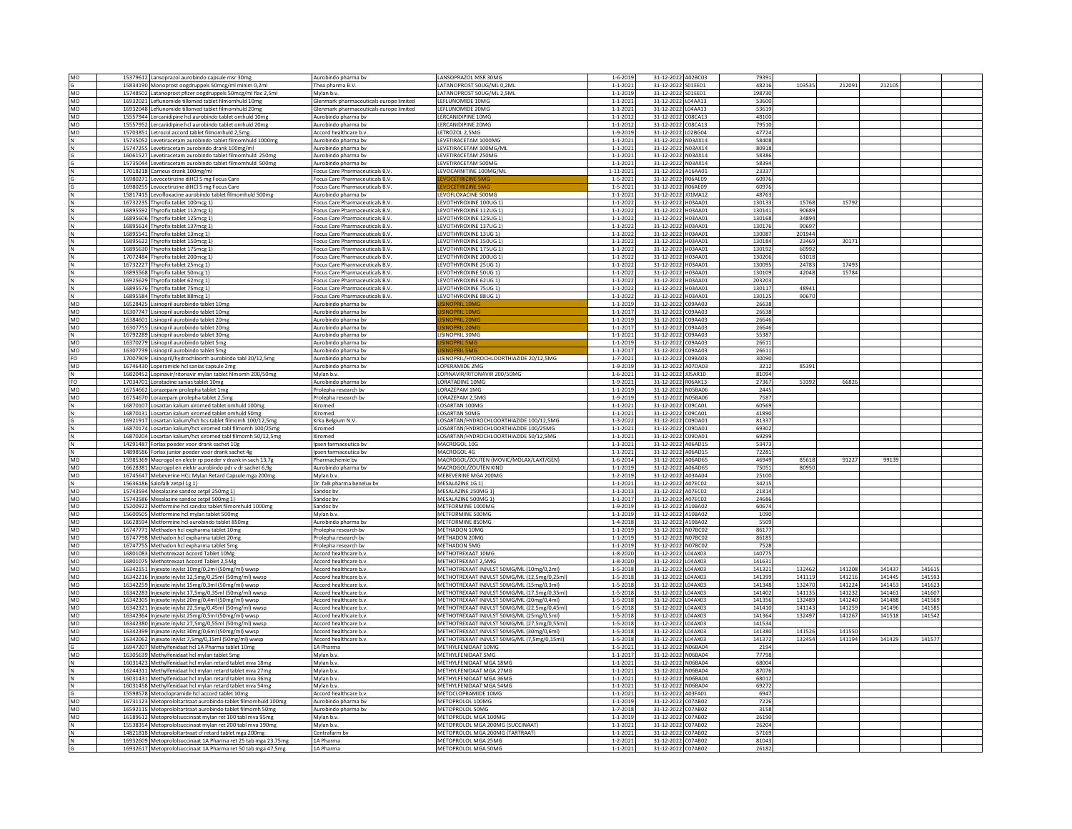| MO<br>G     | 15379612 Lansoprazol aurobindo capsule msr 30mg               | Aurobindo pharma by                     | LANSOPRAZOL MSR 30MG                         | $1 - 6 - 2019$  | 31-12-2022 A02BC03  | 79391  |        |        |        |        |  |
|-------------|---------------------------------------------------------------|-----------------------------------------|----------------------------------------------|-----------------|---------------------|--------|--------|--------|--------|--------|--|
|             | 15834190 Monoprost oogdruppels 50mcg/ml minim 0,2ml           | Thea pharma B.V.                        | LATANOPROST 50UG/ML 0.2M                     | $1 - 1 - 2021$  | 31-12-2022 SO1EE01  | 48216  | 103535 | 212091 | 212105 |        |  |
| MO          | 15748502 Latanoprost pfizer oogdruppels 50mcg/ml flac 2,5ml   | Mylan b.v.                              | LATANOPROST 50UG/ML 2.5ML                    | $1 - 1 - 2019$  | 31-12-2022 SO1EE01  | 198730 |        |        |        |        |  |
| MO          | 16932021 Leflunomide tillomed tablet filmomhuld 10mg          | Glenmark pharmaceuticals europe limited | EFLUNOMIDE 10MG                              | $1 - 1 - 2021$  | 31-12-2022 L04AA13  | 5360   |        |        |        |        |  |
| MO          | 16932048 Leflunomide tillomed tablet filmomhuld 20mg          | Glenmark pharmaceuticals europe limited | EFLUNOMIDE 20MG                              | $1 - 1 - 2021$  | 31-12-2022 L04AA13  | 53619  |        |        |        |        |  |
|             |                                                               |                                         |                                              |                 |                     |        |        |        |        |        |  |
| MO          | 15557944 Lercanidipine hcl aurobindo tablet omhuld 10mg       | Aurobindo pharma bv                     | <b>ERCANIDIPINE 10MG</b>                     | $1 - 1 - 2012$  | 31-12-2022 C08CA13  | 48100  |        |        |        |        |  |
| MO          | 15557952 Lercanidipine hcl aurobindo tablet omhuld 20mg       | Aurobindo pharma bv                     | ERCANIDIPINE 20MG                            | $1 - 1 - 2012$  | 31-12-2022 C08CA13  | 79510  |        |        |        |        |  |
| MO          | 15703851 Letrozol accord tablet filmomhuld 2,5mg              | Accord healthcare b.v.                  | <b>IFTROZOL 2.5MG</b>                        | $1 - 9 - 2019$  | 31-12-2022   02BG04 | 47724  |        |        |        |        |  |
| $\hbox{N}$  | 15735052 Levetiracetam aurobindo tablet filmomhuld 1000mg     | Aurobindo pharma bv                     | LEVETIRACETAM 1000MG                         | $1 - 1 - 2021$  | 31-12-2022 N03AX14  | 58408  |        |        |        |        |  |
|             | 15747255 Levetiracetam aurobindo drank 100mg/ml               | Aurobindo pharma by                     | <b>FVETIRACETAM 100MG/MI</b>                 | $1 - 1 - 2021$  | 31-12-2022 N03AX14  | 80918  |        |        |        |        |  |
|             | 16061527 Levetiracetam aurobindo tablet filmomhuld 250mg      | Aurobindo pharma by                     | EVETIRACETAM 250MG                           | $1 - 1 - 2021$  | 31-12-2022 N03AX14  | 58386  |        |        |        |        |  |
|             |                                                               |                                         |                                              |                 |                     |        |        |        |        |        |  |
|             | 15735044 Levetiracetam aurobindo tablet filmomhuld 500mg      | Aurobindo pharma bv                     | EVETIRACETAM 500MG                           | $1 - 1 - 2021$  | 31-12-2022 N03AX14  | 58394  |        |        |        |        |  |
|             | 17018218 Carneus drank 100mg/ml                               | Focus Care Pharmaceuticals B.V.         | EVOCARNITINE 100MG/ML                        | $1 - 11 - 2021$ | 31-12-2022 A16AA01  | 23337  |        |        |        |        |  |
|             | 16980271 Levocetirizine diHCl 5 mg Focus Care                 | Focus Care Pharmaceuticals B.V.         |                                              | $1 - 5 - 2021$  | 31-12-2022 R06AE09  | 60976  |        |        |        |        |  |
|             | 16980255 Levocetirizine diHCl 5 mg Focus Care                 | Focus Care Pharmaceuticals B.V.         | <b>VOCETIBIZINE SAA</b>                      | $1 - 5 - 2021$  | 31-12-2022 R06AE09  | 60976  |        |        |        |        |  |
|             | 15817415 Levofloxacine aurobindo tablet filmomhuld 500mg      | Aurobindo pharma by                     | LEVOFLOXACINE 500MG                          | $1 - 1 - 2021$  | 31-12-2022 J01MA12  | 48763  |        |        |        |        |  |
|             | 16732235 Thyrofix tablet 100mcg 1)                            | Focus Care Pharmaceuticals B.V.         | LEVOTHYROXINE 100UG 1                        | $1 - 1 - 2022$  | 31-12-2022 H03AA01  | 130133 | 15768  | 15792  |        |        |  |
|             |                                                               |                                         |                                              |                 |                     |        |        |        |        |        |  |
|             | 16895592 Thyrofix tablet 112mcg 1)                            | Focus Care Pharmaceuticals B.V          | EVOTHYROXINE 112UG 1                         | $1 - 1 - 2022$  | 31-12-2022 H03AA01  | 130141 | 90689  |        |        |        |  |
|             | 16895606 Thyrofix tablet 125mcg 1                             | Focus Care Pharmaceuticals B.V.         | LEVOTHYROXINE 125UG 1                        | $1 - 1 - 2022$  | 31-12-2022 H03AA01  | 130168 | 34894  |        |        |        |  |
|             | 16895614 Thyrofix tablet 137mcg 1)                            | Focus Care Pharmaceuticals B.V.         | EVOTHYROXINE 137UG 1)                        | $1 - 1 - 2022$  | 31-12-2022 H03AA01  | 130176 | 90697  |        |        |        |  |
|             | 16895541 Thyrofix tablet 13mcg 1)                             | Focus Care Pharmaceuticals B.V.         | EVOTHYROXINE 13UG 1)                         | $1 - 1 - 2022$  | 31-12-2022 H03AA01  | 130087 | 201944 |        |        |        |  |
|             | 16895622 Thyrofix tablet 150mcg 1)                            | Focus Care Pharmaceuticals B.V.         | <b>I FVOTHYROXINE 150UG 1)</b>               | $1 - 1 - 2022$  | 31-12-2022 H03AA01  | 130184 | 23469  | 30171  |        |        |  |
|             | 16895630 Thyrofix tablet 175mcg 1                             | Focus Care Pharmaceuticals B.V.         | LEVOTHYROXINE 175UG 1)                       | $1 - 1 - 2022$  | 31-12-2022 H03AA01  | 130192 | 60992  |        |        |        |  |
|             | 17072484 Thyrofix tablet 200mcg 1)                            | <b>Focus Care Pharmaceuticals B.V.</b>  | <b>FVOTHYROXINE 200UG 1</b>                  | $1 - 1 - 2022$  | 31-12-2022 H03AA01  | 130206 | 61018  |        |        |        |  |
|             |                                                               |                                         |                                              |                 |                     |        |        | 17493  |        |        |  |
|             | 16732227 Thyrofix tablet 25mcg 1)                             | Focus Care Pharmaceuticals B.V.         | EVOTHYROXINE 25UG 1)                         | $1 - 1 - 2022$  | 31-12-2022 H03AA01  | 130095 | 24783  |        |        |        |  |
|             | 16895568 Thyrofix tablet 50mcg 1)                             | Focus Care Pharmaceuticals B.V.         | LEVOTHYROXINE 50UG 1)                        | $1 - 1 - 2022$  | 31-12-2022 H03AA01  | 130109 | 42048  | 15784  |        |        |  |
|             | 16925629 Thyrofix tablet 62mcg 1)                             | Focus Care Pharmaceuticals B.V.         | EVOTHYROXINE 62UG 1)                         | $1 - 1 - 2022$  | 31-12-2022 H03AA01  | 203203 |        |        |        |        |  |
|             | 16895576 Thyrofix tablet 75mcg 1)                             | Focus Care Pharmaceuticals B.V.         | EVOTHYROXINE 75UG 1)                         | $1 - 1 - 2022$  | 31-12-2022 H03AA01  | 130117 | 48941  |        |        |        |  |
| $\mathsf N$ | 16895584 Thyrofix tablet 88mcg 1)                             | Focus Care Pharmaceuticals B.V.         | LEVOTHYROXINE 88UG 1)                        | $1 - 1 - 2022$  | 31-12-2022 H03AA01  | 130125 | 90670  |        |        |        |  |
| MO          | 16528425 Lisinopril aurobindo tablet 10mg                     | Aurobindo pharma by                     |                                              | $1 - 1 - 2019$  | 31-12-2022 C09AA03  | 26638  |        |        |        |        |  |
| MO          | 16307747 Lisinopril aurobindo tablet 10mg                     | Aurobindo pharma by                     | <b>INOPRIL 10M</b>                           | $1 - 1 - 2017$  | 31-12-2022 C09AA03  | 26638  |        |        |        |        |  |
|             |                                                               |                                         |                                              |                 |                     |        |        |        |        |        |  |
| MO          | 16384601 Lisinopril aurobindo tablet 20mg                     | Aurobindo pharma bv                     | <b>INOPRIL 20M</b>                           | $1 - 1 - 2019$  | 31-12-2022 C09AA03  | 26646  |        |        |        |        |  |
| MO          | 16307755 Lisinopril aurobindo tablet 20mg                     | Aurobindo pharma by                     | <b>INOPRIL 20M</b>                           | $1 - 1 - 2017$  | 31-12-2022 C09AA03  | 26646  |        |        |        |        |  |
| N           | 16792289 Lisinopril aurobindo tablet 30mg                     | Aurobindo pharma bv                     | ISINOPRIL 30MG                               | $1 - 1 - 2021$  | 31-12-2022 C09AA03  | 55387  |        |        |        |        |  |
| MO          | 16370279 Lisinopril aurobindo tablet 5mg                      | Aurobindo pharma bv                     | <b>INOPRIL 5M</b>                            | $1 - 1 - 2019$  | 31-12-2022 C09AA03  | 26611  |        |        |        |        |  |
| MO          | 16307739 Lisinopril aurobindo tablet 5mg                      | Aurobindo pharma by                     | <b>INOPRIL 5M</b>                            | $1 - 1 - 2017$  | 31-12-2022 C09AA03  | 26611  |        |        |        |        |  |
| FO          | 17007909 Lisinopril/hydrochloorth aurobindo tabl 20/12,5mg    | Aurobindo pharma bv                     | LISINOPRIL/HYDROCHLOORTHIAZIDE 20/12,5MG     | $1 - 7 - 2021$  | 31-12-2022 C09BA03  | 30090  |        |        |        |        |  |
|             |                                                               |                                         |                                              |                 |                     |        |        |        |        |        |  |
| MO          | 16746430 Loperamide hcl sanias capsule 2mg                    | Aurobindo pharma bv                     | LOPERAMIDE 2MG                               | $1 - 9 - 2019$  | 31-12-2022 A07DA03  | 3212   | 85391  |        |        |        |  |
| $\mathsf N$ | 16820452 Lopinavir/ritonavir mylan tablet filmomh 200/50mg    | Mylan b.v.                              | OPINAVIR/RITONAVIR 200/50MG                  | $1 - 6 - 2021$  | 31-12-2022 J05AR10  | 81094  |        |        |        |        |  |
| FO          | 17034701 Loratadine sanias tablet 10mg                        | Aurobindo pharma bv                     | LORATADINE 10MG                              | 1-9-2021        | 31-12-2022 R06AX13  | 27367  | 53392  | 66826  |        |        |  |
| MO          | 16754662 Lorazepam prolepha tablet 1mg                        | Prolepha research bv                    | ORAZEPAM 1MG                                 | $1 - 1 - 2019$  | 31-12-2022 N05BA06  | 2445   |        |        |        |        |  |
| MO          | 16754670 Lorazepam prolepha tablet 2,5mg                      | Prolepha research bv                    | LORAZEPAM 2.5MG                              | 1-9-2019        | 31-12-2022 N05BA06  | 7587   |        |        |        |        |  |
| $\,$ N      | 16870107 Losartan kalium xiromed tablet omhuld 100mg          | Xiromed                                 | LOSARTAN 100MG                               | $1 - 1 - 2021$  | 31-12-2022 C09CA01  | 60569  |        |        |        |        |  |
| N           | 16870131 Losartan kalium xiromed tablet omhuld 50mg           | Xiromed                                 | LOSARTAN 50MG                                | $1 - 1 - 2021$  | 31-12-2022 C09CA01  | 41890  |        |        |        |        |  |
|             | 16921917 Losartan kalium/hct hcs tablet filmomh 100/12.5mg    | Krka Belgium N.V.                       | LOSARTAN/HYDROCHLOORTHIAZIDE 100/12.5MG      | $1 - 3 - 2022$  | 31-12-2022 C09DA01  | 81337  |        |        |        |        |  |
|             |                                                               |                                         |                                              |                 |                     |        |        |        |        |        |  |
|             | 16870174 Losartan kalium/hct xiromed tabl filmomh 100/25mg    | Xiromed                                 | OSARTAN/HYDROCHLOORTHIAZIDE 100/25MG         | $1 - 1 - 2021$  | 31-12-2022 C09DA01  | 69302  |        |        |        |        |  |
|             | 16870204 Losartan kalium/hct xiromed tabl filmomh 50/12,5mg   | Xiromed                                 | LOSARTAN/HYDROCHLOORTHIAZIDE 50/12,5MG       | $1 - 1 - 2021$  | 31-12-2022 C09DA01  | 69299  |        |        |        |        |  |
|             | 14291487 Forlax poeder voor drank sachet 10g                  | Ipsen farmaceutica bv                   | MACROGOL 10G                                 | $1 - 1 - 2021$  | 31-12-2022 A06AD15  | 53473  |        |        |        |        |  |
|             | 14898586 Forlax junior poeder voor drank sachet 4g            | psen farmaceutica bv                    | MACROGOL 4G                                  | $1 - 1 - 2021$  | 31-12-2022 A06AD15  | 72281  |        |        |        |        |  |
| MO          | 15985369 Macrogol en electr rp poeder v drank in sach 13,7g   | Pharmachemie hy                         | MACROGOL/ZOUTEN (MOVIC/MOLAX/LAXT/GEN)       | $1 - 6 - 2014$  | 31-12-2022 A06AD65  | 46949  | 85618  | 91227  | 99139  |        |  |
| MO          | 16628381 Macrogol en elektr aurobindo pdr v dr sachet 6,9g    | Aurobindo pharma bv                     | MACROGOL/ZOUTEN KIND                         | $1 - 1 - 2019$  | 31-12-2022 A06AD65  | 75051  | 80950  |        |        |        |  |
|             |                                                               |                                         |                                              |                 |                     |        |        |        |        |        |  |
| MO          | 16745647 Mebeverine HCL Mylan Retard Capsule mga 200m         | Mylan b.v.                              | MEBEVERINE MGA 200MG                         | $1 - 2 - 2019$  | 31-12-2022 A03AA04  | 25100  |        |        |        |        |  |
| $\mathsf N$ | 15636186 Salofalk zetpil 1g 1)                                | Dr. falk pharma benelux bv              | MESALAZINE 1G 1)                             | $1 - 1 - 202$   | 31-12-2022 A07EC02  | 34215  |        |        |        |        |  |
| MO          | 15743594 Mesalazine sandoz zetpil 250mg 1)                    | Sandoz by                               | MESALAZINE 250MG 1)                          | $1 - 1 - 2013$  | 31-12-2022 A07EC02  | 21814  |        |        |        |        |  |
| MO          | 15743586 Mesalazine sandoz zetpil 500mg 1)                    | Sandoz bv                               | MESALAZINE 500MG 1)                          | $1 - 1 - 2017$  | 31-12-2022 A07EC02  | 24686  |        |        |        |        |  |
| MO          | 15200922 Metformine hcl sandoz tablet filmomhuld 1000mg       | Sandoz by                               | <b>METFORMINE 1000MG</b>                     | 1-9-2019        | 31-12-2022 A10BA02  | 60674  |        |        |        |        |  |
| MO          | 15600505 Metformine hcl mylan tablet 500mg                    | Mylan b.v.                              | METFORMINE 500MG                             | $1 - 1 - 2019$  | 31-12-2022 A10BA02  | 1090   |        |        |        |        |  |
| MO          |                                                               |                                         | METFORMINE 850MG                             | $1 - 4 - 2018$  |                     | 5509   |        |        |        |        |  |
|             | 16628594 Metformine hcl aurobindo tablet 850mg                | Aurobindo pharma bv                     |                                              |                 | 31-12-2022 A10BA02  |        |        |        |        |        |  |
| MO          | 16747771 Methadon hcl expharma tablet 10mg                    | Prolepha research by                    | MFTHADON 10MG                                | $1 - 1 - 2019$  | 31-12-2022 N07BC02  | 86177  |        |        |        |        |  |
| MO          | 16747798 Methadon hcl expharma tablet 20mg                    | Prolepha research bv                    | METHADON 20MG                                | $1 - 1 - 2019$  | 31-12-2022 N07BC02  | 86185  |        |        |        |        |  |
| MO          | 16747755 Methadon hcl expharma tablet 5mg                     | Prolepha research by                    | METHADON 5MG                                 | $1 - 1 - 2019$  | 31-12-2022 N07BC02  | 7528   |        |        |        |        |  |
| MO          | 16801083 Methotrexaat Accord Tablet 10Mg                      | Accord healthcare b.v.                  | METHOTREXAAT 10MG                            | $1 - 8 - 202$   | 31-12-2022 L04AX03  | 140775 |        |        |        |        |  |
| MO          | 16801075 Methotrexaat Accord Tablet 2,5Mg                     | Accord healthcare b.v.                  | METHOTREXAAT 2,5MG                           | $1 - 8 - 2020$  | 31-12-2022 L04AX03  | 141631 |        |        |        |        |  |
| MO          | 16342151 Injexate injvlst 10mg/0,2ml (50mg/ml) wwsp           | Accord healthcare b.v.                  | METHOTREXAAT INJVLST 50MG/ML (10mg/0,2ml)    | $1 - 5 - 2011$  | 31-12-2022 L04AX03  | 141321 | 132462 | 141208 | 141437 | 141615 |  |
| MO          | 16342216 Injexate injvlst 12,5mg/0,25ml (50mg/ml) wwsp        | Accord healthcare b.v.                  | METHOTREXAAT INJVLST 50MG/ML (12,5mg/0,25ml) | $1 - 5 - 2018$  | 31-12-2022 L04AX03  | 141399 | 141119 | 141216 | 141445 | 141593 |  |
| MO          |                                                               |                                         |                                              |                 |                     |        |        |        |        |        |  |
|             | 16342259 Injexate injvlst 15mg/0,3ml (50mg/ml) wwsp           | Accord healthcare b.v.                  | METHOTREXAAT INJVLST 50MG/ML (15mg/0,3ml)    | $1 - 5 - 2018$  | 31-12-2022 L04AX03  | 141348 | 132470 | 141224 | 141453 | 141623 |  |
| MO          | 16342283 Injexate injvlst 17,5mg/0,35ml (50mg/ml) wwsp        | Accord healthcare b.v                   | METHOTREXAAT INJVLST 50MG/ML (17,5mg/0,35ml  | $1 - 5 - 2018$  | 31-12-2022 L04AX03  | 141402 | 141135 | 141232 | 14146  | 141607 |  |
| MO          | 16342305 Injexate injvlst 20mg/0,4ml (50mg/ml) wwsp           | Accord healthcare b.v.                  | METHOTREXAAT INJVLST 50MG/ML (20mg/0,4ml)    | $1 - 5 - 2018$  | 31-12-2022 L04AX03  | 141356 | 132489 | 141240 | 141488 | 141569 |  |
| MO          | 16342321 Injexate injvlst 22,5mg/0,45ml (50mg/ml) wwsp        | Accord healthcare b.v.                  | METHOTREXAAT INJVLST 50MG/ML (22,5mg/0,45ml) | $1 - 5 - 2018$  | 31-12-2022 L04AX03  | 141410 | 141143 | 141259 | 141496 | 141585 |  |
| MO          | 16342364 Injexate injvlst 25mg/0,5ml (50mg/ml) wwsp           | Accord healthcare b.v.                  | METHOTREXAAT INJVLST 50MG/ML (25mg/0.5ml)    | $1 - 5 - 2018$  | 31-12-2022 L04AX03  | 141364 | 132497 | 141267 | 141518 | 141542 |  |
| MO          | 16342380 Injexate injvlst 27,5mg/0,55ml (50mg/ml) wwsp        | Accord healthcare b.v.                  | METHOTREXAAT INJVLST 50MG/ML (27,5mg/0,55ml) | $1 - 5 - 2018$  | 31-12-2022 L04AX03  | 141534 |        |        |        |        |  |
| MO          | 16342399 Injexate injvlst 30mg/0,6ml (50mg/ml) wwsp           | Accord healthcare b.v.                  | METHOTREXAAT INJVLST 50MG/ML (30mg/0,6ml)    | $1 - 5 - 2018$  | 31-12-2022 L04AX03  | 141380 | 141526 | 141550 |        |        |  |
| MO          |                                                               |                                         | METHOTREXAAT INJVLST 50MG/ML (7.5mg/0.15ml)  | $1 - 5 - 2018$  |                     | 141372 | 132454 |        | 141429 | 14157  |  |
|             | 16342062 Injexate injvlst 7,5mg/0,15ml (50mg/ml) wwsp         | Accord healthcare b.v.                  |                                              |                 | 31-12-2022 L04AX03  |        |        | 141194 |        |        |  |
|             | 16947207 Methylfenidaat hcl 1A Pharma tablet 10mg             | 1A Pharma                               | METHYLFENIDAAT 10MG                          | $1 - 5 - 2021$  | 31-12-2022 N06BA04  | 2194   |        |        |        |        |  |
| MO          | 16305639 Methylfenidaat hcl mylan tablet 5mg                  | Mylan b.v.                              | METHYLFENIDAAT 5MG                           | $1 - 1 - 2017$  | 31-12-2022 N06BA04  | 77798  |        |        |        |        |  |
|             | 16031423 Methylfenidaat hcl mylan retard tablet mva 18mg      | Mylan b.v.                              | METHYLFENIDAAT MGA 18MG                      | $1 - 1 - 2021$  | 31-12-2022 N06BA04  | 68004  |        |        |        |        |  |
| N           | 16244311 Methylfenidaat hcl mylan retard tablet mva 27mg      | Mylan b.v.                              | METHYLFENIDAAT MGA 27MG                      | $1 - 1 - 2021$  | 31-12-2022 N06BA04  | 87076  |        |        |        |        |  |
| N           | 16031431 Methylfenidaat hcl mylan retard tablet mva 36mg      | Mylan h.v.                              | METHYLEENIDAAT MGA 36MG                      | $1 - 1 - 2021$  | 31-12-2022 N06BA04  | 68012  |        |        |        |        |  |
| N           | 16031458 Methylfenidaat hcl mylan retard tablet mva 54mg      | Mylan b.v.                              | METHYLFENIDAAT MGA 54MG                      | $1 - 1 - 2021$  | 31-12-2022 N06BA04  | 69272  |        |        |        |        |  |
|             |                                                               |                                         | METOCLOPRAMIDE 10MG                          |                 | 31-12-2022 A03FA01  |        |        |        |        |        |  |
| G           | 15598578 Metoclopramide hcl accord tablet 10mg                | Accord healthcare b.v.                  |                                              | $1 - 1 - 2021$  |                     | 6947   |        |        |        |        |  |
| MO          | 16731123 Metoprololtartraat aurobindo tablet filmomhuld 100mg | Aurobindo pharma by                     | METOPROLOL 100MG                             | $1 - 1 - 2019$  | 31-12-2022 C07AB02  | 7226   |        |        |        |        |  |
| MO          | 16592115 Metoprololtartraat aurobindo tablet filmomh 50mg     | Aurobindo pharma by                     | METOPROLOL 50MG                              | 1-7-2018        | 31-12-2022 C07AB02  | 3158   |        |        |        |        |  |
| MO          | 16189612 Metoprololsuccinaat mylan ret 100 tabl mva 95mg      | Mylan b.v.                              | METOPROLOL MGA 100MG                         | $1 - 1 - 2019$  | 31-12-2022 C07AB02  | 26190  |        |        |        |        |  |
|             | 15538354 Metoprololsuccinaat mylan ret 200 tabl mya 190me     | Mylan b.v.                              | METOPROLOL MGA 200MG (SUCCINAAT)             | $1 - 1 - 2021$  | 31-12-2022 C07AB02  | 26204  |        |        |        |        |  |
| N           | 14821818 Metoproloitartraat cf retard tablet mga 200mg        | Centrafarm by                           | METOPROLOL MGA 200MG (TARTRAAT)              | $1 - 1 - 2021$  | 31-12-2022 C07AB02  | 57169  |        |        |        |        |  |
|             |                                                               | 1A Pharma                               |                                              | $1 - 2 - 2021$  | 31-12-2022 C07AB02  | 81043  |        |        |        |        |  |
|             | 16932609 Metoprololsuccinaat 1A Pharma ret 25 tab mga 23,75mg |                                         | METOPROLOL MGA 25MG                          |                 |                     |        |        |        |        |        |  |
| lG          | 16932617 Metoprololsuccinaat 1A Pharma ret 50 tab mga 47,5mg  | 1A Pharma                               | METOPROLOL MGA 50MG                          | $1 - 1 - 2021$  | 31-12-2022 C07AB02  | 26182  |        |        |        |        |  |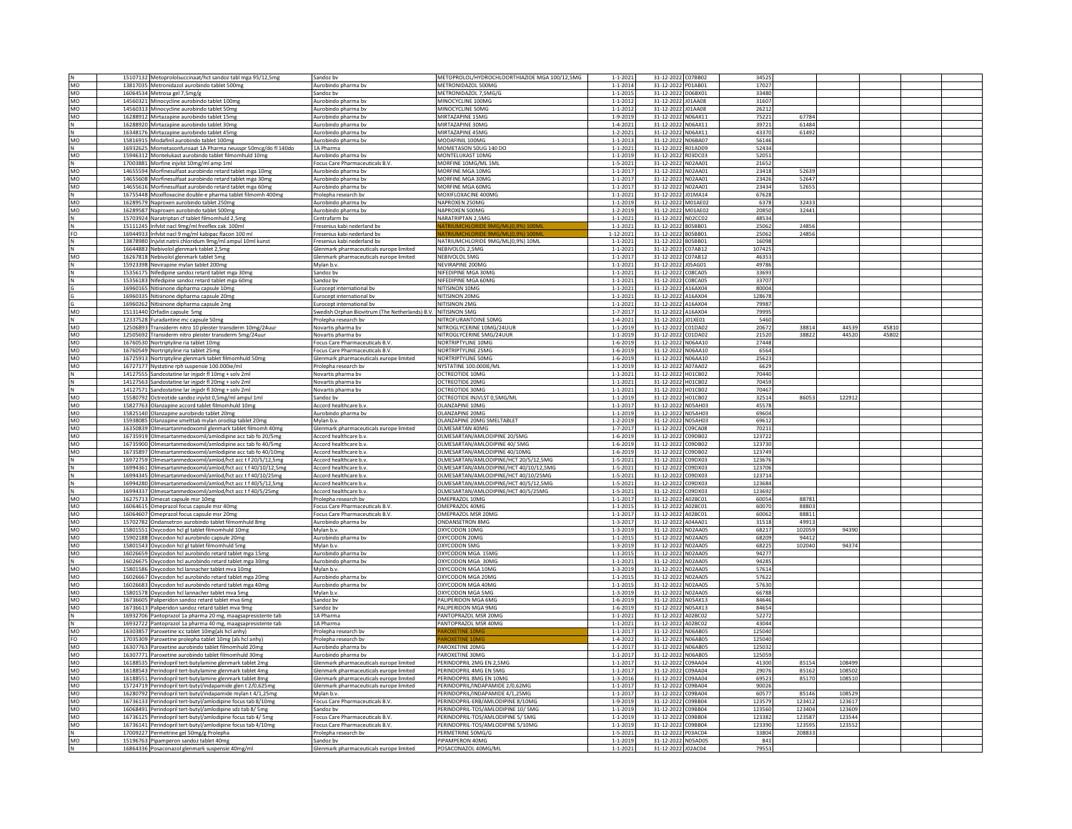|                | 15107132 Metoprololsuccinaat/hct sandoz tabl mga 95/12,5mg                                | Sandoz bv                                                     | METOPROLOL/HYDROCHLOORTHIAZIDE MGA 100/12,5MG | $1 - 1 - 2021$                   | 31-12-2022 C07BB02                       | 34525        |        |        |      |  |
|----------------|-------------------------------------------------------------------------------------------|---------------------------------------------------------------|-----------------------------------------------|----------------------------------|------------------------------------------|--------------|--------|--------|------|--|
| MO             | 13817035 Metronidazol aurobindo tablet 500mg                                              | Aurobindo pharma bv                                           | METRONIDAZOL 500MG                            | $1 - 1 - 2014$                   | 31-12-2022 P01AB01                       | 17027        |        |        |      |  |
| MO             | 16064534 Metrosa gel 7,5mg/g                                                              | Sandoz bv                                                     | METRONIDAZOL 7,5MG/G                          | $1 - 1 - 2015$                   | 31-12-2022 D06BX01                       | 33480        |        |        |      |  |
|                |                                                                                           |                                                               | MINOCYCLINE 100MG                             |                                  |                                          | 31607        |        |        |      |  |
| MO             | 14560321 Minocycline aurobindo tablet 100mg                                               | Aurobindo pharma by                                           |                                               | $1 - 1 - 2012$                   | 31-12-2022 J01AA08                       |              |        |        |      |  |
| MO             | 14560313 Minocycline aurobindo tablet 50mg                                                | Aurobindo pharma bv                                           | MINOCYCLINE 50MG                              | $1 - 1 - 2012$                   | 31-12-2022 J01AA08                       | 26212        |        |        |      |  |
| MO             | 16288912 Mirtazapine aurobindo tablet 15mg                                                | Aurobindo pharma bv                                           | MIRTAZAPINE 15MG                              | $1 - 9 - 2019$                   | 31-12-2022 N06AX11                       | 75221        | 67784  |        |      |  |
|                | 16288920 Mirtazapine aurobindo tablet 30mg                                                | Aurobindo pharma bv                                           | MIRTAZAPINE 30MO                              | $1 - 4 - 202$                    | 31-12-2022 N06AX11                       | 39721        | 61484  |        |      |  |
| N              | 16348176 Mirtazapine aurobindo tablet 45mg                                                | Aurobindo pharma bv                                           | MIRTAZAPINE 45MG                              | $1 - 2 - 2021$                   | 31-12-2022 N06AX11                       | 43370        | 61492  |        |      |  |
| MO             |                                                                                           |                                                               | MODAFINIL 100MG                               |                                  |                                          |              |        |        |      |  |
|                | 15816915 Modafinil aurobindo tablet 100mg                                                 | Aurobindo pharma bv                                           |                                               | $1 - 1 - 2013$                   | 31-12-2022 N06BA07                       | 56146        |        |        |      |  |
| $\hbox{N}$     | 16932625 Mometasonfuroaat 1A Pharma neusspr 50mcg/do fl 140do                             | 1A Pharma                                                     | MOMETASON 50UG 140 DO                         | $1 - 1 - 2021$                   | 31-12-2022 R01AD09                       | 52434        |        |        |      |  |
| MO             | 15946312 Montelukast aurobindo tablet filmomhuld 10mg                                     | Aurobindo pharma bv                                           | MONTFLUKAST 10MG                              | $1 - 1 - 2019$                   | 31-12-2022 R03DC03                       | 52051        |        |        |      |  |
| N              | 17003881 Morfine injvlst 10mg/ml amp 1ml                                                  | Focus Care Pharmaceuticals B.V.                               | MORFINE 10MG/ML 1ML                           | $1 - 5 - 2021$                   | 31-12-2022 N02AA01                       | 21652        |        |        |      |  |
| MO             | 14655594 Morfinesulfaat aurobindo retard tablet mga 10mg                                  | Aurobindo pharma bv                                           | MORFINE MGA 10MG                              | $1 - 1 - 201$                    | 31-12-2022 NO2AA01                       | 23418        | 52639  |        |      |  |
|                |                                                                                           |                                                               | MORFINE MGA 30MG                              |                                  |                                          |              | 52647  |        |      |  |
| MO             | 14655608 Morfinesulfaat aurobindo retard tablet mga 30mg                                  | Aurobindo pharma by                                           |                                               | $1 - 1 - 201$                    | 31-12-2022 N02AA01                       | 23426        |        |        |      |  |
| MO             | 14655616 Morfinesulfaat aurobindo retard tablet mga 60mg                                  | Aurobindo pharma bv                                           | MORFINE MGA 60MG                              | $1 - 1 - 201$                    | 31-12-2022 N02AA01                       | 23434        | 52655  |        |      |  |
| N              | 16755448 Moxifloxacine double-e pharma tablet filmomh 400mg                               | Prolepha research bv                                          | MOXIFLOXACINE 400MG                           | $1 - 1 - 2021$                   | 31-12-2022 J01MA14                       | 67628        |        |        |      |  |
| MO             | 16289579 Naproxen aurobindo tablet 250mg                                                  | Aurobindo pharma bv                                           | NAPROXEN 250MG                                | $1 - 1 - 2019$                   | 31-12-2022 M01AE02                       | 6378         | 32433  |        |      |  |
| MO             |                                                                                           |                                                               | NAPROXEN 500MG                                |                                  | 31-12-2022 M01AE02                       |              | 32441  |        |      |  |
|                | 16289587 Naproxen aurobindo tablet 500mg                                                  | Aurobindo pharma bv                                           |                                               | $1 - 2 - 2019$                   |                                          | 20850        |        |        |      |  |
|                | 15703924 Naratriptan cf tablet filmomhuld 2,5mg                                           | Centrafarm bv                                                 | NARATRIPTAN 2,5MG                             | $1 - 1 - 2021$                   | 31-12-2022 NO2CCO2                       | 48534        |        |        |      |  |
| N              | 15111245 Infvlst nacl 9mg/ml freeflex zak 100ml                                           | Fresenius kabi nederland by                                   |                                               | $1 - 1 - 2021$                   | 31-12-2022 B05BB01                       | 25062        | 24856  |        |      |  |
| FO             | 16944933 Infvlst nacl 9 mg/ml kabipac flacon 100 m                                        | Fresenius kabi nederland b                                    |                                               | $1 - 12 - 2021$                  | 31-12-2022 B05BB01                       | 25062        | 24856  |        |      |  |
| N              | 13878980 Injvlst natrii chloridum 9mg/ml ampul 10ml kunst                                 | Fresenius kabi nederland bv                                   | NATRIUMCHLORIDE 9MG/ML(0,9%) 10ML             | $1 - 1 - 2021$                   | 31-12-2022 B05BB01                       | 16098        |        |        |      |  |
| N              | 16644883 Nebivolol glenmark tablet 2,5mg                                                  | Glenmark pharmaceuticals europe limited                       | NEBIVOLOL 2.5MG                               | $1 - 1 - 2021$                   | 31-12-2022 C07AB12                       | 107425       |        |        |      |  |
|                |                                                                                           |                                                               |                                               |                                  |                                          |              |        |        |      |  |
| MO             | 16267818 Nebivolol glenmark tablet 5mg                                                    | Glenmark pharmaceuticals europe limited                       | NEBIVOLOL 5MG                                 | $1 - 1 - 201$                    | 31-12-2022 C07AB12                       | 46353        |        |        |      |  |
| N              | 15923398 Nevirapine mylan tablet 200mg                                                    | Mylan b.y                                                     | NEVIRAPINE 200MG                              | $1 - 1 - 2021$                   | 31-12-2022 J05AG01                       | 49786        |        |        |      |  |
|                | 15356175 Nifedipine sandoz retard tablet mga 30mg                                         | Sandoz bv                                                     | NIFEDIPINE MGA 30MG                           | $1 - 1 - 2021$                   | 31-12-2022 C08CA05                       | 33693        |        |        |      |  |
|                | 15356183 Nifedipine sandoz retard tablet mga 60mg                                         | Sandoz by                                                     | NIFEDIPINE MGA 60MG                           | $1 - 1 - 2021$                   | 31-12-2022 C08CA05                       | 33707        |        |        |      |  |
|                | 16960165 Nitisinone dipharma capsule 10mg                                                 | Eurocept international by                                     | NITISINON 10MG                                | $1 - 1 - 2021$                   | 31-12-2022 A16AX04                       | 80004        |        |        |      |  |
|                |                                                                                           |                                                               |                                               |                                  |                                          |              |        |        |      |  |
|                | 16960335 Nitisinone dipharma capsule 20mg                                                 | Eurocept international by                                     | NITISINON 20MG                                | $1 - 1 - 2021$                   | 31-12-2022 A16AX04                       | 128678       |        |        |      |  |
|                | 16960262 Nitisinone dipharma capsule 2mg                                                  | Eurocept international bv                                     | NITISINON 2MG                                 | $1 - 1 - 2021$                   | 31-12-2022 A16AX04                       | 79987        |        |        |      |  |
| MO             | 15131440 Orfadin capsule 5mg                                                              | Swedish Orphan Biovitrum (The Netherlands) B.V. NITISINON 5MG |                                               | $1 - 7 - 201$                    | 31-12-2022 A16AX04                       | 7999         |        |        |      |  |
| N              | 12337528 Furadantine mc capsule 50mg                                                      | Prolepha research by                                          | NITROFURANTOINE 50MG                          | $1 - 4 - 2021$                   | 31-12-2022 J01XE01                       | 5460         |        |        |      |  |
| MO             |                                                                                           | Novartis pharma bv                                            | NITROGLYCERINE 10MG/24UUF                     | $1 - 1 - 2019$                   | 31-12-2022 C01DA02                       | 20672        | 38814  | 44539  | 4581 |  |
|                | 12506893 Transiderm nitro 10 pleister transderm 10mg/24uur                                |                                                               |                                               |                                  |                                          |              |        |        |      |  |
| MO             | 12505692 Transiderm nitro pleister transderm 5mg/24uur                                    | Novartis pharma by                                            | NITROGLYCERINE 5MG/24UUR                      | $1 - 1 - 2019$                   | 31-12-2022 C01DA02                       | 21520        | 38822  | 44520  | 4580 |  |
| MO             | 16760530 Nortriptyline ria tablet 10mg                                                    | Focus Care Pharmaceuticals B.V                                | NORTRIPTYLINE 10MG                            | $1 - 6 - 2019$                   | 31-12-2022 N06AA10                       | 27448        |        |        |      |  |
| MO             | 16760549 Nortriptyline ria tablet 25mg                                                    | Focus Care Pharmaceuticals B.V                                | NORTRIPTYLINE 25MG                            | $1 - 6 - 2019$                   | 31-12-2022 N06AA10                       | 6564         |        |        |      |  |
| MO             | 16725913 Nortriptyline glenmark tablet filmomhuld 50mg                                    | Glenmark pharmaceuticals europe limited                       | NORTRIPTYLINE 50MG                            | $1 - 6 - 2019$                   | 31-12-2022 N06AA10                       | 25623        |        |        |      |  |
| MO             |                                                                                           |                                                               | NYSTATINE 100.000IE/ML                        | $1 - 1 - 2019$                   | 31-12-2022 A07AA02                       | 6629         |        |        |      |  |
|                | 16727177 Nystatine rph suspensie 100.000ie/ml                                             | Prolepha research by                                          |                                               |                                  |                                          |              |        |        |      |  |
| N              | 14127555 Sandostatine lar injpdr fl 10mg + solv 2ml                                       | Novartis pharma by                                            | <b>OCTREOTIDE 10MG</b>                        | $1 - 1 - 2021$                   | 31-12-2022 H01CB02                       | 70440        |        |        |      |  |
| N              | 14127563 Sandostatine lar injpdr fl 20mg + solv 2ml                                       | Novartis pharma bv                                            | OCTREOTIDE 20MG                               | $1 - 1 - 2021$                   | 31-12-2022 H01CB02                       | 70459        |        |        |      |  |
|                | 14127571 Sandostatine lar injpdr fl 30mg + solv 2ml                                       | Novartis pharma bv                                            | OCTREOTIDE 30MG                               | $1 - 1 - 2021$                   | 31-12-2022 H01CB02                       | 70467        |        |        |      |  |
| MO             | 15580792 Octreotide sandoz injvlst 0,5mg/ml ampul 1ml                                     | Sandoz by                                                     | OCTREOTIDE INJVLST 0,5MG/ML                   | $1 - 1 - 2019$                   | 31-12-2022 H01CB02                       | 32514        | 86053  | 122912 |      |  |
| MO             |                                                                                           |                                                               | OLANZAPINE 10MG                               | $1 - 1 - 2017$                   | 31-12-2022 N05AH03                       | 45578        |        |        |      |  |
|                | 15827763 Olanzapine accord tablet filmomhuld 10mg                                         | Accord healthcare b.v                                         |                                               |                                  |                                          |              |        |        |      |  |
| <b>MO</b>      | 15825140 Olanzapine aurobindo tablet 20mg                                                 | Aurobindo pharma bv                                           | OLANZAPINE 20MG                               | $1 - 1 - 2019$                   | 31-12-2022 N05AH03                       | 69604        |        |        |      |  |
| MO             | 15938085 Olanzapine smelttab mylan orodisp tablet 20mg                                    | Mylan b.v                                                     | OLANZAPINE 20MG SMELTABLET                    | $1 - 2 - 201$                    | 31-12-2022 N05AH03                       | 69612        |        |        |      |  |
| MO             | 16350839 Olmesartanmedoxomil glenmark tablet filmomh 40mg                                 | Glenmark pharmaceuticals europe limited                       | OLMESARTAN 40MG                               | $1 - 7 - 201$                    | 31-12-2022 C09CA08                       | 70211        |        |        |      |  |
| MO             | 16735919 Olmesartanmedoxomil/amlodipine acc tab fo 20/5mg                                 | Accord healthcare b.v                                         | OLMESARTAN/AMLODIPINE 20/5MG                  | $1 - 6 - 2019$                   | 31-12-2022 C09DB02                       | 123722       |        |        |      |  |
|                |                                                                                           |                                                               |                                               |                                  |                                          |              |        |        |      |  |
| MO             | 16735900 Olmesartanmedoxomil/amlodipine acc tab fo 40/5mg                                 | Accord healthcare b.v                                         | OLMESARTAN/AMLODIPINE 40/ 5MG                 | $1 - 6 - 2019$                   | 31-12-2022 C09DB02                       | 123730       |        |        |      |  |
| MO             | 16735897 Olmesartanmedoxomil/amlodipine acc tab fo 40/10mg                                | Accord healthcare b.v                                         | OLMESARTAN/AMLODIPINE 40/10MG                 | $1 - 6 - 2019$                   | 31-12-2022 C09DB02                       | 123749       |        |        |      |  |
| $\,$ N         | 16972759 Olmesartanmedoxomil/amlod/hct acc t f 20/5/12,5mg                                | Accord healthcare b.v.                                        | OLMESARTAN/AMLODIPINE/HCT 20/5/12.5MG         | $1 - 5 - 2021$                   | 31-12-2022 C09DX03                       | 123676       |        |        |      |  |
| $\hbox{N}$     | 16994361 Olmesartanmedoxomil/amlod/hct acc t f 40/10/12,5mg                               | Accord healthcare b.v                                         | OLMESARTAN/AMLODIPINE/HCT 40/10/12,5MG        | $1 - 5 - 2021$                   | 31-12-2022 C09DX03                       | 123706       |        |        |      |  |
|                | 16994345 Olmesartanmedoxomil/amlod/hct acc t f 40/10/25mg                                 | Accord healthcare b.v                                         | OLMESARTAN/AMLODIPINE/HCT 40/10/25MG          | $1 - 5 - 202$                    | 31-12-2022 C09DX03                       | 12371        |        |        |      |  |
| N              |                                                                                           | Accord healthcare b.v                                         | OLMESARTAN/AMLODIPINE/HCT 40/5/12,5MG         | $1 - 5 - 2021$                   |                                          |              |        |        |      |  |
|                |                                                                                           |                                                               |                                               |                                  |                                          |              |        |        |      |  |
|                | 16994280 Olmesartanmedoxomil/amlod/hct acc t f 40/5/12,5mg                                |                                                               |                                               |                                  | 31-12-2022 C09DX03                       | 123684       |        |        |      |  |
|                | 16994337 Olmesartanmedoxomil/amlod/hct acc t f 40/5/25mg                                  | Accord healthcare b.v                                         | OLMESARTAN/AMLODIPINE/HCT 40/5/25MG           | $1 - 5 - 2021$                   | 31-12-2022 C09DX03                       | 123692       |        |        |      |  |
| MO             | 16275713 Omecat capsule msr 10mg                                                          | Prolepha research bv                                          | OMEPRAZOL 10MG                                | $1 - 1 - 201$                    | 31-12-2022 A02BC01                       | 60054        | 88781  |        |      |  |
| MO             |                                                                                           | Focus Care Pharmaceuticals B.V                                | OMEPRAZOL 40MG                                | $1 - 1 - 201$                    | 31-12-2022 A02BC01                       | 60070        | 88803  |        |      |  |
|                | 16064615 Omeprazol focus capsule msr 40mg                                                 |                                                               |                                               | $1 - 1 - 201$                    |                                          |              | 88811  |        |      |  |
| MO             | 16064607 Omeprazol focus capsule msr 20mg                                                 | Focus Care Pharmaceuticals B.V.                               | OMEPRAZOL MSR 20MG                            |                                  | 31-12-2022 A02BC01                       | 60062        |        |        |      |  |
| MO             | 15702782 Ondansetron aurobindo tablet filmomhuld 8mg                                      | Aurobindo pharma bv                                           | ONDANSETRON 8MG                               | $1 - 3 - 2017$                   | 31-12-2022 A04AA01                       | 31518        | 49913  |        |      |  |
| MO             | 15801551 Oxycodon hcl gl tablet filmomhuld 10mg                                           | Mylan b.v.                                                    | OXYCODON 10MG                                 | $1 - 3 - 2019$                   | 31-12-2022 N02AA05                       | 6821         | 102059 | 94390  |      |  |
| M <sub>O</sub> | 15902188 Oxycodon hcl aurobindo capsule 20mg                                              | Aurobindo pharma bv                                           | OXYCODON 20MG                                 | $1 - 1 - 2015$                   | 31-12-2022 N02AA05                       | 68209        | 94412  |        |      |  |
| MO             | 15801543 Oxycodon hcl gl tablet filmomhuld 5mg                                            | Mylan b.v.                                                    | OXYCODON 5MG                                  | $1 - 3 - 2019$                   | 31-12-2022 NO2AA05                       | 68225        | 102040 | 94374  |      |  |
| MO             | 16026659 Oxycodon hcl aurobindo retard tablet mga 15mg                                    | Aurobindo pharma by                                           | OXYCODON MGA 15MG                             | $1 - 1 - 2015$                   | 31-12-2022 N02AA05                       | 94277        |        |        |      |  |
|                |                                                                                           |                                                               | OXYCODON MGA 30MG                             | $1 - 1 - 2021$                   | 31-12-2022 N02AA05                       | 94285        |        |        |      |  |
| N              | 16026675 Oxycodon hcl aurobindo retard tablet mga 30mg                                    | Aurobindo pharma bv                                           |                                               |                                  |                                          |              |        |        |      |  |
| MO             | 15801586 Oxycodon hcl lannacher tablet mva 10mg                                           | Mylan b.v.                                                    | OXYCODON MGA 10MG                             | $1 - 3 - 2019$                   | 31-12-2022 NO2AA05                       | 57614        |        |        |      |  |
| MO             | 16026667 Oxycodon hcl aurobindo retard tablet mga 20mg                                    | Aurobindo pharma bv                                           | OXYCODON MGA 20MG                             | $1 - 1 - 2015$                   | 31-12-2022 N02AA05                       | 57622        |        |        |      |  |
| MO             | 16026683 Oxycodon hcl aurobindo retard tablet mga 40mg                                    | Aurobindo pharma bv                                           | OXYCODON MGA 40MG                             | $1 - 1 - 201$                    | 31-12-2022 NO2AA05                       | 57630        |        |        |      |  |
| MO             | 15801578 Oxycodon hcl lannacher tablet mva 5mg                                            | Mylan b.v.                                                    | OXYCODON MGA 5MG                              | $1 - 3 - 2019$                   | 31-12-2022 NO2AA05                       | 66788        |        |        |      |  |
|                | 16736605 Paliperidon sandoz retard tablet mva 6mg                                         | Sandoz bv                                                     |                                               |                                  |                                          | 84646        |        |        |      |  |
| MO             |                                                                                           |                                                               | PALIPERIDON MGA 6MG                           | $1 - 6 - 2019$                   | 31-12-2022 N05AX13                       | 84654        |        |        |      |  |
| MO             | 16736613 Paliperidon sandoz retard tablet mva 9mg                                         | Sandoz bv                                                     | PALIPERIDON MGA 9MG                           | $1 - 6 - 2019$                   | 31-12-2022 N05AX13                       |              |        |        |      |  |
| N              | 16932706 Pantoprazol 1a pharma 20 mg, maagsapresistente tab                               | 1A Pharma                                                     | PANTOPRAZOL MSR 20MO                          | $1 - 1 - 2021$                   | 31-12-2022 A02BC02                       | 52272        |        |        |      |  |
| N              | 16932722 Pantoprazol 1a pharma 40 mg, maagsapresistente tab                               | 1A Pharma                                                     | PANTOPRAZOL MSR 40MG                          | $1 - 1 - 2021$                   | 31-12-2022 A02BC02                       | 43044        |        |        |      |  |
| MO             | 16303857 Paroxetine icc tablet 10mg(als hcl anhy)                                         | Prolepha research by                                          |                                               | $1 - 1 - 201$                    | 31-12-2022 N06AB05                       | 125040       |        |        |      |  |
| FO             | 17035309 Paroxetine prolepha tablet 10mg (als hcl anhy)                                   | Prolepha research bv                                          |                                               | $1 - 4 - 202$                    | 31-12-2022 N06AB05                       | 12504        |        |        |      |  |
| MO             | 16307763 Paroxetine aurobindo tablet filmomhuld 20me                                      | Aurobindo pharma bv                                           | PAROXETINE 20MG                               | $1 - 1 - 201$                    | 31-12-2022 N06AB05                       | 125032       |        |        |      |  |
|                |                                                                                           |                                                               |                                               |                                  |                                          |              |        |        |      |  |
| MO             | 16307771 Paroxetine aurobindo tablet filmomhuld 30mg                                      | Aurobindo pharma bv                                           | PAROXETINE 30MG                               | $1 - 1 - 2017$                   | 31-12-2022 N06AB05                       | 125059       |        |        |      |  |
| MO             | 16188535 Perindopril tert-butylamine glenmark tablet 2mg                                  | Glenmark pharmaceuticals europe limited                       | <b>ERINDOPRIL 2MG EN 2,5MG</b>                | $1 - 1 - 2017$                   | 31-12-2022 C09AA04                       | 41300        | 85154  | 108499 |      |  |
| MO             | 16188543 Perindopril tert-butylamine glenmark tablet 4mg                                  | Glenmark pharmaceuticals europe limited                       | PERINDOPRIL 4MG EN 5MG                        | $1 - 1 - 201$                    | 31-12-2022 C09AA04                       | 29076        | 85162  | 108502 |      |  |
| MO             | 16188551 Perindopril tert-butylamine glenmark tablet 8mg                                  | Glenmark pharmaceuticals europe limited                       | PERINDOPRIL 8MG EN 10MG                       | $1 - 3 - 201$                    | 31-12-2022 C09AA04                       | 69523        | 85170  | 108510 |      |  |
|                |                                                                                           |                                                               | PERINDOPRIL/INDAPAMIDE 2/0,62MG               | $1 - 1 - 201$                    | 31-12-2022 C09BA04                       | 90026        |        |        |      |  |
| MO             | 15724719 Perindopril tert-butyl/indapamide glen t 2/0,625mg                               | Glenmark pharmaceuticals europe limited                       |                                               |                                  |                                          |              |        |        |      |  |
| MO             | 16280792 Perindopril tert-butyl/indapamide mylan t 4/1,25mg                               | Mylan b.v                                                     | PERINDOPRIL/INDAPAMIDE 4/1,25MG               | $1 - 1 - 201$                    | 31-12-2022 C09BA04                       | 60577        | 85146  | 108529 |      |  |
| MO             | 16736133 Perindopril tert-butyl/amlodipine focus tab 8/10mg                               | Focus Care Pharmaceuticals B.V.                               | PERINDOPRIL-ERB/AMLODIPINE 8/10MG             | 1-9-2019                         | 31-12-2022 C09BB04                       | 123579       | 123412 | 123617 |      |  |
| MO             | 16068491 Perindopril tert-butyl/amlodipine sdz tab 8/5mg                                  | Sandoz bv                                                     | PERINDOPRIL-TOS/AMLODIPINE 10/5MG             | $1 - 1 - 2019$                   | 31-12-2022 C09BB04                       | 123560       | 123404 | 123609 |      |  |
| MO             | 16736125 Perindopril tert-butyl/amlodipine focus tab 4/ 5mg                               | Focus Care Pharmaceuticals B.V.                               | PERINDOPRIL-TOS/AMLODIPINE 5/5MG              | $1 - 1 - 2019$                   | 31-12-2022 C09BB04                       | 123382       | 123587 | 123544 |      |  |
|                |                                                                                           |                                                               |                                               |                                  |                                          |              |        |        |      |  |
| MO             | 16736141 Perindopril tert-butyl/amlodipine focus tab 4/10mg                               | Focus Care Pharmaceuticals B.V                                | PERINDOPRIL-TOS/AMLODIPINE 5/10MG             | $1 - 1 - 2019$                   | 31-12-2022 C09BB04                       | 123390       | 123595 | 123552 |      |  |
| N              | 17009227 Permetrine gel 50mg/g Prolepha                                                   | Prolepha research bv                                          | PERMETRINE 50MG/G                             | $1 - 5 - 202$                    | 31-12-2022 P03AC04                       | 33804        | 208833 |        |      |  |
| MO<br>$\,$ N   | 15196763 Pipamperon sandoz tablet 40mg<br>16864336 Posaconazol glenmark suspensie 40mg/ml | Sandoz by<br>Glenmark pharmaceuticals europe limited          | PIPAMPERON 40MG<br>POSACONAZOL 40MG/ML        | $1 - 1 - 2019$<br>$1 - 1 - 2021$ | 31-12-2022 N05AD05<br>31-12-2022 J02AC04 | 841<br>79553 |        |        |      |  |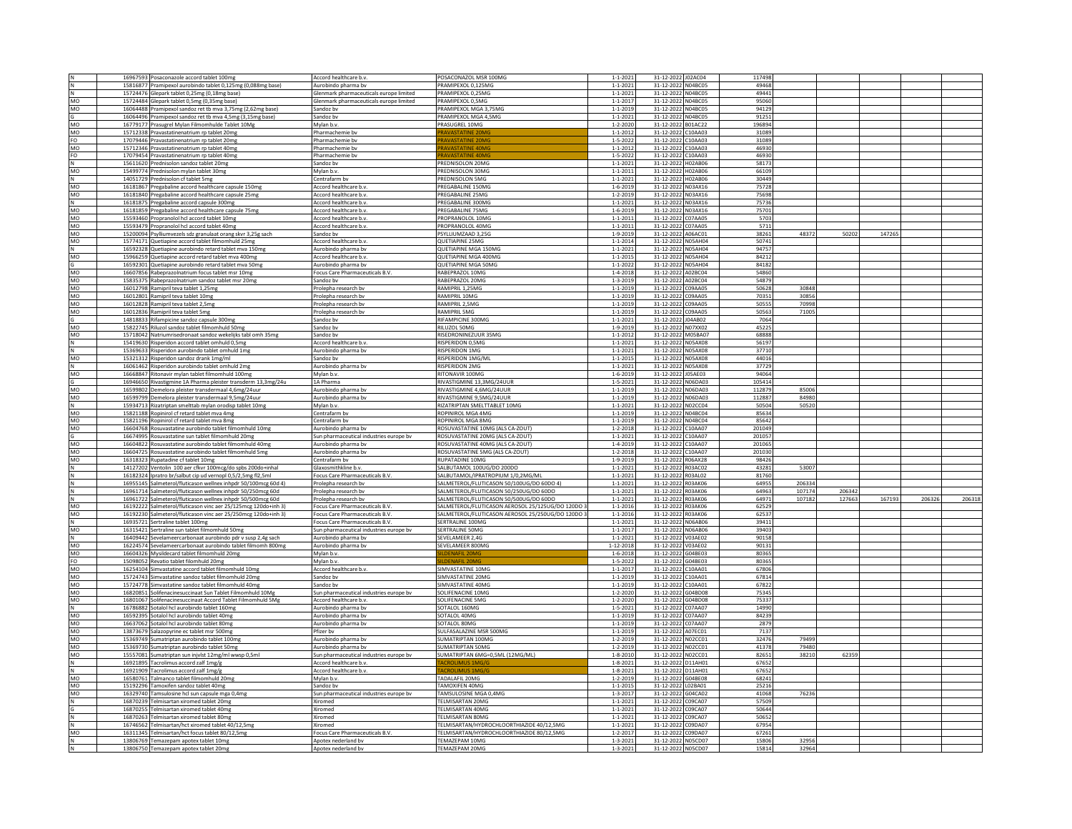|              | 16967593 Posaconazole accord tablet 100mg                                                   | Accord healthcare b.v                   | POSACONAZOL MSR 100MG                                           | $1 - 1 - 2021$  | 31-12-2022 J02AC04                          | 117498         |                |        |        |        |        |
|--------------|---------------------------------------------------------------------------------------------|-----------------------------------------|-----------------------------------------------------------------|-----------------|---------------------------------------------|----------------|----------------|--------|--------|--------|--------|
|              | 15816877 Pramipexol aurobindo tablet 0,125mg (0,088mg base)                                 | Aurobindo pharma bv                     | PRAMIPEXOL 0,125MG                                              | $1 - 1 - 2021$  | 31-12-2022 N04BC05                          | 49468          |                |        |        |        |        |
| N            | 15724476 Glepark tablet 0,25mg (0,18mg base)                                                | Glenmark pharmaceuticals europe limited | PRAMIPEXOL 0.25MG                                               | $1 - 1 - 2021$  | 31-12-2022 N04BC05                          | 49441          |                |        |        |        |        |
| MO           | 15724484 Glepark tablet 0,5mg (0,35mg base)                                                 | Glenmark pharmaceuticals europe limited | PRAMIPEXOL 0,5MG                                                | $1 - 1 - 2017$  | <b>N04BC05</b><br>31-12-2022                | 95060          |                |        |        |        |        |
| MO           | 16064488 Pramipexol sandoz ret tb mva 3,75mg (2,62mg base)                                  | Sandoz bv                               | PRAMIPEXOL MGA 3,75MG                                           | $1 - 1 - 2019$  | 31-12-2022 N04BC05                          | 94129          |                |        |        |        |        |
|              | 16064496 Pramipexol sandoz ret tb mva 4,5mg (3,15mg base)                                   | Sandoz by                               | PRAMIPEXOL MGA 4,5MG                                            | $1 - 1 - 2021$  | 31-12-2022 N04BC05                          | 91251          |                |        |        |        |        |
| MO           | 16779177 Prasugrel Mylan Filmomhulde Tablet 10Mg                                            | Mylan b.v.                              | PRASUGREL 10MG                                                  | $1 - 2 - 2020$  | 31-12-2022<br><b>B01AC22</b>                | 196894         |                |        |        |        |        |
| MO           | 15712338 Pravastatinenatrium rp tablet 20mg                                                 | Pharmachemie bv                         |                                                                 | $1 - 1 - 2012$  | 31-12-2022 C10AA03                          | 31089          |                |        |        |        |        |
| FO           | 17079446 Pravastatinenatrium rp tablet 20mg                                                 | Pharmachemie bv                         | <b>AVASTATINE 20M</b>                                           | $1 - 5 - 2022$  | 31-12-2022 C10AA03                          | 31089          |                |        |        |        |        |
| MO           | 15712346 Pravastatinenatrium rp tablet 40mg                                                 | Pharmachemie by                         | <b>RAVASTATINE 40MG</b>                                         | $1 - 1 - 2012$  | 31-12-2022 C10AA03                          | 46930          |                |        |        |        |        |
| FO           | 17079454 Pravastatinenatrium rp tablet 40mg                                                 | Pharmachemie bv                         |                                                                 | $1 - 5 - 2022$  | 31-12-2022<br>C10AA03                       | 46930          |                |        |        |        |        |
| N            | 15611620 Prednisolon sandoz tablet 20mg                                                     | Sandoz by                               | PREDNISOLON 20MG                                                | $1 - 1 - 2021$  | H02AB06<br>31-12-2022                       | 58173          |                |        |        |        |        |
| MO           | 15499774 Prednisolon mylan tablet 30mg                                                      | Mylan b.v.                              | PREDNISOLON 30MG                                                | $1 - 1 - 2011$  | 31-12-2022 H02AB06                          | 66109          |                |        |        |        |        |
|              | 14051729 Prednisolon cf tablet 5mg                                                          | Centrafarm bv                           | PREDNISOLON 5MG                                                 | $1 - 1 - 2021$  | 31-12-2022<br>H02AB06                       | 30449          |                |        |        |        |        |
| MO           | 16181867 Pregabaline accord healthcare capsule 150mg                                        | Accord healthcare b.v                   | PREGABALINE 150MG                                               | $1 - 6 - 2019$  | N03AX16<br>31-12-2022                       | 75728          |                |        |        |        |        |
| MO           | 16181840 Pregabaline accord healthcare capsule 25mg                                         | Accord healthcare b.v.                  | PREGABALINE 25MG                                                | $1 - 2 - 2019$  | 31-12-2022 N03AX16                          | 75698          |                |        |        |        |        |
| N            | 16181875 Pregabaline accord capsule 300mg                                                   | Accord healthcare b.v.                  | PREGABALINE 300MG                                               | $1 - 1 - 2021$  | 31-12-2022 N03AX16                          | 75736          |                |        |        |        |        |
| MO           | 16181859 Pregabaline accord healthcare capsule 75mg                                         | Accord healthcare b.v                   | PREGABALINE 75MG                                                | $1 - 6 - 2019$  | 31-12-2022<br>N03AX16                       | 75701          |                |        |        |        |        |
| MO           | 15593460 Propranolol hcl accord tablet 10mg                                                 | Accord healthcare b.v                   | PROPRANOLOL 10MG                                                | $1 - 1 - 2011$  | 31-12-2022 C07AA05                          | 5703           |                |        |        |        |        |
| MO           | 15593479 Propranolol hcl accord tablet 40mg                                                 | Accord healthcare b.v.                  | PROPRANOLOL 40MG                                                | $1 - 1 - 2011$  | 31-12-2022 C07AA05                          | 5711           |                |        |        |        |        |
| MO           | 15200094 Psylliumvezels sdz granulaat orang skvr 3,25g sach                                 | Sandoz by                               | PSYLLIUMZAAD 3.25G                                              | 1-9-2019        | 31-12-2022 A06AC01                          | 38261          | 48372          | 50202  | 14726  |        |        |
| MO           | 15774171 Quetiapine accord tablet filmomhuld 25mg                                           | Accord healthcare b.v.                  | QUETIAPINE 25MG                                                 | $1 - 1 - 2014$  | 31-12-2022 N05AH04                          | 50741          |                |        |        |        |        |
| N            | 16592328 Quetiapine aurobindo retard tablet mva 150mg                                       | Aurobindo pharma bv                     | QUETIAPINE MGA 150MG                                            | $1 - 1 - 2021$  | 31-12-2022 N05AH04                          | 94757          |                |        |        |        |        |
| MO           | 15966259 Quetiapine accord retard tablet mva 400mg                                          | Accord healthcare b.v.                  | <b>OUFTIAPINE MGA 400MG</b>                                     | $1 - 1 - 2015$  | 31-12-2022 NO5AH04                          | 84212          |                |        |        |        |        |
|              | 16592301 Quetiapine aurobindo retard tablet mva 50mg                                        | Aurobindo pharma by                     | <b>QUETIAPINE MGA 50MG</b>                                      | $1 - 1 - 2022$  | 31-12-2022 N05AH04                          | 84182          |                |        |        |        |        |
| MO           | 16607856 Rabeprazolnatrium focus tablet msr 10mg                                            | Focus Care Pharmaceuticals B.V.         | RABEPRAZOL 10MG                                                 | $1 - 4 - 2018$  | 31-12-2022 A02BC04                          | 54860          |                |        |        |        |        |
| MO           | 15835375 Rabeprazolnatrium sandoz tablet msr 20mg                                           | Sandoz bv                               | RABEPRAZOL 20MG                                                 | $1 - 3 - 2019$  | 31-12-2022 A02BC04                          | 54879          |                |        |        |        |        |
| MO           | 16012798 Ramipril teva tablet 1,25mg                                                        | Prolepha research bv                    | RAMIPRIL 1,25MG                                                 | $1 - 1 - 2019$  | 31-12-2022 C09AA05                          | 50628          | 30848          |        |        |        |        |
| MO           | 16012801 Ramipril teva tablet 10mg                                                          | Prolepha research by                    | RAMIPRIL 10MG                                                   | $1 - 1 - 2019$  | 31-12-2022 C09AA05                          | 70351          | 30856          |        |        |        |        |
| MO           | 16012828 Ramipril teva tablet 2,5mg                                                         | Prolepha research by                    | RAMIPRIL 2.5MG                                                  | $1 - 1 - 2019$  | 31-12-2022 C09AA05                          | 50555          | 70998          |        |        |        |        |
| MO           | 16012836 Ramipril teva tablet 5mg                                                           | Prolepha research by                    | RAMIPRIL 5MG                                                    | $1 - 1 - 2019$  | 31-12-2022 C09AA05                          | 50563          | 71005          |        |        |        |        |
|              |                                                                                             | Sandoz by                               | RIFAMPICINE 300MG                                               | $1 - 1 - 2021$  | 31-12-2022 J04AB02                          | 7064           |                |        |        |        |        |
| MO           | 14818833 Rifampicine sandoz capsule 300mg<br>15822745 Riluzol sandoz tablet filmomhuld 50mg | Sandoz bv                               | RILUZOL 50MG                                                    | $1 - 9 - 2019$  | 31-12-2022 NO7XX02                          | 45225          |                |        |        |        |        |
| MO           |                                                                                             | Sandoz bv                               | RISEDRONINEZUUR 35MG                                            | $1 - 1 - 2012$  | 31-12-2022 M05BA07                          | 68888          |                |        |        |        |        |
| N            | 15718042 Natriumrisedronaat sandoz wekelijks tabl omh 35mg                                  |                                         |                                                                 |                 |                                             |                |                |        |        |        |        |
|              | 15419630 Risperidon accord tablet omhuld 0,5mg                                              | Accord healthcare b.v.                  | RISPERIDON 0,5MG<br><b>RISPERIDON 1MG</b>                       | $1 - 1 - 2021$  | 31-12-2022 N05AX08                          | 56197<br>37710 |                |        |        |        |        |
| N            | 15369633 Risperidon aurobindo tablet omhuld 1mg                                             | Aurobindo pharma bv                     |                                                                 | $1 - 1 - 2021$  | 31-12-2022 N05AX08                          | 44016          |                |        |        |        |        |
| MO           | 15321312 Risperidon sandoz drank 1mg/ml                                                     | Sandoz by                               | RISPERIDON 1MG/ML                                               | $1 - 1 - 2015$  | 31-12-2022 N05AX08                          | 37729          |                |        |        |        |        |
| N            | 16061462 Risperidon aurobindo tablet omhuld 2mg                                             | Aurobindo pharma bv                     | RISPERIDON 2MG                                                  | $1 - 1 - 2021$  | 31-12-2022 N05AX08                          | 94064          |                |        |        |        |        |
| MO           | 16668847 Ritonavir mylan tablet filmomhuld 100mg                                            | Mylan b.v                               | RITONAVIR 100MG                                                 | $1 - 6 - 2019$  | 31-12-2022 J05AE03                          |                |                |        |        |        |        |
|              | 16946650 Rivastigmine 1A Pharma pleister transderm 13,3mg/24u                               | 1A Pharma                               | RIVASTIGMINE 13.3MG/24UUR                                       | $1 - 5 - 2021$  | 31-12-2022 N06DA03                          | 105414         |                |        |        |        |        |
| <b>MO</b>    | 16599802 Demelora pleister transdermaal 4,6mg/24uur                                         | Aurobindo pharma bv                     | RIVASTIGMINE 4,6MG/24UUR                                        | $1 - 1 - 2019$  | 31-12-2022 N06DA03                          | 112879         | 85006          |        |        |        |        |
| MO           | 16599799 Demelora pleister transdermaal 9,5mg/24uur                                         | Aurobindo pharma bv                     | RIVASTIGMINE 9,5MG/24UUF<br><b>RIZATRIPTAN SMELTTABLET 10MG</b> | $1 - 1 - 2019$  | 31-12-2022<br>N06DA03<br>31-12-2022 N02CC04 | 112887         | 84980<br>50520 |        |        |        |        |
| $\mathsf{N}$ | 15934713 Rizatriptan smelttab mylan orodisp tablet 10mg                                     | Mylan h.v.                              |                                                                 | $1 - 1 - 2021$  |                                             | 50504          |                |        |        |        |        |
| MO           | 15821188 Ropinirol cf retard tablet mva 4mg                                                 | Centrafarm by                           | ROPINIROL MGA 4MG                                               | $1 - 1 - 2019$  | 31-12-2022 N04BC04                          | 85634          |                |        |        |        |        |
| MO           | 15821196 Ropinirol cf retard tablet mva 8mg                                                 | Centrafarm bv                           | ROPINIROL MGA 8MG                                               | $1 - 1 - 2019$  | 31-12-2022<br><b>N04BC04</b>                | 85642          |                |        |        |        |        |
| MO           | 16604768 Rosuvastatine aurobindo tablet filmomhuld 10mg                                     | Aurobindo pharma by                     | ROSUVASTATINE 10MG (ALS CA-ZOUT)                                | $1 - 2 - 2018$  | 31-12-2022 C10AA07                          | 201049         |                |        |        |        |        |
|              | 16674995 Rosuvastatine sun tablet filmomhuld 20mg                                           | Sun pharmaceutical industries europe bv | ROSUVASTATINE 20MG (ALS CA-ZOUT)                                | $1 - 1 - 2021$  | 31-12-2022 C10AA07                          | 201057         |                |        |        |        |        |
| MO           | 16604822 Rosuvastatine aurobindo tablet filmomhuld 40mg                                     | Aurobindo pharma bv                     | ROSUVASTATINE 40MG (ALS CA-ZOUT)                                | $1 - 4 - 2019$  | 31-12-2022 C10AA07                          | 201065         |                |        |        |        |        |
| <b>MO</b>    | 16604725 Rosuvastatine aurobindo tablet filmomhuld 5mg                                      | Aurobindo pharma bv                     | ROSUVASTATINE 5MG (ALS CA-ZOUT)                                 | $1 - 2 - 2018$  | 31-12-2022 C10AA07                          | 201030         |                |        |        |        |        |
| MO           | 16318323 Rupatadine cf tablet 10mg                                                          | Centrafarm by                           | RUPATADINE 10MG                                                 | 1-9-2019        | 31-12-2022 R06AX28                          | 98426          |                |        |        |        |        |
|              | 14127202 Ventolin 100 aer cfkvr 100mcg/do spbs 200do+inhal                                  | Glaxosmithkline b.v.                    | SALBUTAMOL 100UG/DO 200DO                                       | $1 - 1 - 2021$  | 31-12-2022 R03AC02                          | 43281          | 53007          |        |        |        |        |
|              | 16182324 Ipratro br/salbut cip ud vernopl 0,5/2,5mg fl2,5ml                                 | Focus Care Pharmaceuticals B.V.         | SALBUTAMOL/IPRATROPIUM 1/0.2MG/MI                               | $1 - 1 - 2021$  | 31-12-2022 R03AL02                          | 81760          |                |        |        |        |        |
| N            | 16955145 Salmeterol/fluticason wellnex inhpdr 50/100mcg 60d 4)                              | Prolepha research by                    | SALMETEROL/FLUTICASON 50/100UG/DO 60DO 4)                       | $1 - 1 - 2021$  | 31-12-2022 R03AK06                          | 64955          | 206334         |        |        |        |        |
|              | 16961714 Salmeterol/fluticason wellnex inhpdr 50/250mcg 60d                                 | Prolepha research by                    | SALMETEROL/FLUTICASON 50/250UG/DO 60DO                          | $1 - 1 - 2021$  | 31-12-2022 R03AK06                          | 64963          | 107174         | 206342 |        |        |        |
| N            | 16961722 Salmeterol/fluticason wellnex inhpdr 50/500mcg 60d                                 | Prolepha research by                    | SALMETEROL/FLUTICASON 50/500UG/DO 60DO                          | $1 - 1 - 2021$  | 31-12-2022 R03AK06                          | 64971          | 107182         | 127663 | 167193 | 206326 | 206318 |
| MO           | 16192222 Salmeterol/fluticason vinc aer 25/125mcg 120do+inh 3)                              | Focus Care Pharmaceuticals B.V          | SALMETEROL/FLUTICASON AEROSOL 25/125UG/DO 120DO                 | $1 - 1 - 2016$  | 31-12-2022 R03AK06                          | 62529          |                |        |        |        |        |
| MO           | 16192230 Salmeterol/fluticason vinc aer 25/250mcg 120do+inh 3)                              | <b>Focus Care Pharmaceuticals B.V</b>   | SALMETEROL/FLUTICASON AEROSOL 25/250UG/DO 120DO                 | $1 - 1 - 2016$  | 31-12-2022 R03AK06                          | 62537          |                |        |        |        |        |
| N            | 16935721 Sertraline tablet 100mg                                                            | Focus Care Pharmaceuticals B.V          | SERTRALINE 100MG                                                | $1 - 1 - 2021$  | 31-12-2022 N06AB06                          | 39411          |                |        |        |        |        |
| MO           | 16315421 Sertraline sun tablet filmomhuld 50mg                                              | Sun pharmaceutical industries europe bv | SERTRALINE 50MG                                                 | $1 - 1 - 2017$  | 31-12-2022 N06AB06                          | 39403          |                |        |        |        |        |
| N            | 16409442 Sevelameercarbonaat aurobindo pdr v susp 2,4g sach                                 | Aurobindo pharma bv                     | SEVELAMEER 2,4G                                                 | $1 - 1 - 2021$  | 31-12-2022 V03AE02                          | 90158          |                |        |        |        |        |
| MO           | 16224574 Sevelameercarbonaat aurobindo tablet filmomh 800mg                                 | Aurobindo pharma bv                     | SEVELAMEER 800MG                                                | $1 - 12 - 2018$ | 31-12-2022 V03AE02                          | 90131          |                |        |        |        |        |
| MO           | 16604326 Mysildecard tablet filmomhuld 20mg                                                 | Mylan b.v.                              |                                                                 | $1 - 6 - 2018$  | 31-12-2022<br>G04BE03                       | 80365          |                |        |        |        |        |
| FO           | 15098052 Revatio tablet filomhuld 20mg                                                      | Mylan b.v                               |                                                                 | $1 - 5 - 2022$  | 31-12-2022<br>G04BE03                       | 80365          |                |        |        |        |        |
| MO           | 16254104 Simvastatine accord tablet filmomhuld 10mg                                         | Accord healthcare b.v.                  | SIMVASTATINE 10MG                                               | $1 - 1 - 2017$  | 31-12-2022 C10AA01                          | 67806          |                |        |        |        |        |
| MO           | 15724743 Simvastatine sandoz tablet filmomhuld 20mg                                         | Sandoz by                               | SIMVASTATINE 20MG                                               | $1 - 1 - 2019$  | 31-12-2022 C10AA01                          | 67814          |                |        |        |        |        |
| MO           | 15724778 Simvastatine sandoz tablet filmomhuld 40mg                                         | Sandoz bv                               | SIMVASTATINE 40MG                                               | $1 - 1 - 2019$  | 31-12-2022 C10AA01                          | 67822          |                |        |        |        |        |
| MO           | 16820851 Solifenacinesuccinaat Sun Tablet Filmomhuld 10Mg                                   | Sun pharmaceutical industries europe bv | SOLIFENACINE 10MG                                               | $1 - 2 - 2020$  | 31-12-2022 G04BD08                          | 75345          |                |        |        |        |        |
| MO           | 16801067 Solifenacinesuccinaat Accord Tablet Filmomhuld 5Mg                                 | Accord healthcare b.v.                  | SOLIFENACINE 5MG                                                | $1 - 2 - 2020$  | 31-12-2022 G04BD08                          | 75337          |                |        |        |        |        |
| N            | 16786882 Sotalol hcl aurobindo tablet 160mg                                                 | Aurobindo pharma bv                     | SOTALOL 160MG                                                   | $1 - 5 - 2021$  | 31-12-2022 C07AA07                          | 14990          |                |        |        |        |        |
| MO           | 16592395 Sotalol hcl aurobindo tablet 40mg                                                  | Aurobindo pharma bv                     | SOTALOL 40MG                                                    | $1 - 1 - 2019$  | 31-12-2022<br>C07AA07                       | 84239          |                |        |        |        |        |
| MO           | 16637062 Sotalol hcl aurobindo tablet 80mg                                                  | Aurobindo pharma by                     | SOTALOL 80MG                                                    | $1 - 1 - 2019$  | 31-12-2022 C07AA07                          | 2879           |                |        |        |        |        |
| <b>MO</b>    | 13873679 Salazopyrine ec tablet msr 500mg                                                   | Pfizer bv                               | SULFASALAZINE MSR 500MG                                         | $1 - 1 - 2019$  | 31-12-2022 A07EC01                          | 7137           |                |        |        |        |        |
| MO           | 15369749 Sumatriptan aurobindo tablet 100mg                                                 | Aurobindo pharma by                     | SUMATRIPTAN 100MG                                               | $1 - 2 - 2019$  | 31-12-2022<br>N02CC01                       | 32476          | 79499          |        |        |        |        |
| MO           | 15369730 Sumatriptan aurobindo tablet 50mg                                                  | Aurobindo pharma bv                     | SUMATRIPTAN 50MG                                                | $1 - 2 - 2019$  | 31-12-2022 NO2CCO1                          | 41378          | 79480          |        |        |        |        |
| MO           | 15557081 Sumatriptan sun injvlst 12mg/ml wwsp 0,5ml                                         | Sun pharmaceutical industries europe bv | SUMATRIPTAN 6MG=0,5ML (12MG/ML)                                 | $1 - 8 - 2010$  | 31-12-2022 N02CC01                          | 82651          | 38210          | 62359  |        |        |        |
| N            | 16921895 Tacrolimus accord zalf 1mg/g                                                       | Accord healthcare b.v.                  |                                                                 | $1 - 8 - 2021$  | 31-12-2022 D11AH01                          | 67652          |                |        |        |        |        |
| N            | 16921909 Tacrolimus accord zalf 1mg/g                                                       | Accord healthcare b.v                   | <b>CROLIN</b>                                                   | $1 - 8 - 2021$  | 31-12-2022 D11AH01                          | 67652          |                |        |        |        |        |
| MO           | 16580761 Talmanco tablet filmomhuld 20m                                                     | Mylan b.v                               | TADALAFIL 20MG                                                  | $1 - 2 - 2019$  | 31-12-2022 G04BE08                          | 68241          |                |        |        |        |        |
| <b>MO</b>    | 15192296 Tamoxifen sandoz tablet 40mg                                                       | Sandoz by                               | <b>TAMOXIFEN 40MG</b>                                           | $1 - 1 - 2015$  | 31-12-2022 L02BA01                          | 25216          |                |        |        |        |        |
| MO           | 16329740 Tamsulosine hcl sun capsule mga 0,4mg                                              | Sun pharmaceutical industries europe bv | TAMSULOSINE MGA 0,4MG                                           | $1 - 3 - 2017$  | 31-12-2022 G04CA02                          | 41068          | 76236          |        |        |        |        |
| N            | 16870239 Telmisartan xiromed tablet 20mg                                                    | Xiromed                                 | <b>TELMISARTAN 20MG</b>                                         | $1 - 1 - 2021$  | 31-12-2022 C09CA07                          | 57509          |                |        |        |        |        |
|              | 16870255 Telmisartan xiromed tablet 40mg                                                    | Xiromed                                 | TELMISARTAN 40MG                                                | $1 - 1 - 2021$  | 31-12-2022 C09CA07                          | 50644          |                |        |        |        |        |
|              | 16870263 Telmisartan xiromed tablet 80ms                                                    | Xiromed                                 | <b>TELMISARTAN 80MG</b>                                         | $1 - 1 - 2021$  | 31-12-2022<br>C09CA07                       | 50652          |                |        |        |        |        |
| N            | 16746562 Telmisartan/hct xiromed tablet 40/12,5mg                                           | (iromed                                 | TELMISARTAN/HYDROCHLOORTHIAZIDE 40/12,5MG                       | $1 - 1 - 2021$  | C09DA07<br>31-12-2022                       | 67954          |                |        |        |        |        |
| MO           | 16311345 Telmisartan/hct focus tablet 80/12,5mg                                             | Focus Care Pharmaceuticals B.V          | TELMISARTAN/HYDROCHLOORTHIAZIDE 80/12,5MG                       | $1 - 2 - 2017$  | 31-12-2022 C09DA07                          | 67261          |                |        |        |        |        |
| N            | 13806769 Temazepam apotex tablet 10mg                                                       | Apotex nederland by                     | TFMA7FPAM 10MG                                                  | $1 - 3 - 2021$  | 31-12-2022 NOSCD07                          | 15806          | 32956          |        |        |        |        |
| N            | 13806750 Temazepam apotex tablet 20mg                                                       | Apotex nederland by                     | <b>TEMAZEPAM 20MG</b>                                           | $1 - 3 - 2021$  | 31-12-2022 N05CD07                          | 15814          | 32964          |        |        |        |        |